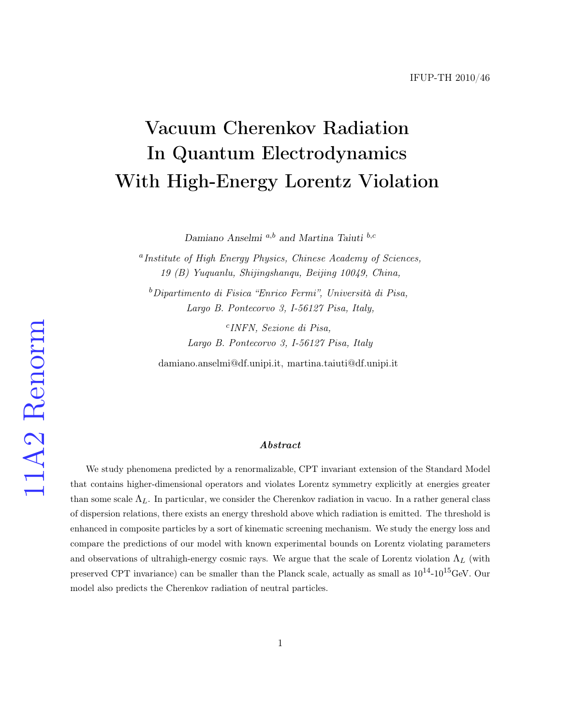# Vacuum Cherenkov Radiation In Quantum Electrodynamics With High-Energy Lorentz Violation

Damiano Anselmi  $a,b$  and Martina Taiuti  $b,c$ 

<sup>a</sup> Institute of High Energy Physics, Chinese Academy of Sciences, 19 (B) Yuquanlu, Shijingshanqu, Beijing 10049, China,

 $b$ Dipartimento di Fisica "Enrico Fermi", Università di Pisa, Largo B. Pontecorvo 3, I-56127 Pisa, Italy,

> c INFN, Sezione di Pisa, Largo B. Pontecorvo 3, I-56127 Pisa, Italy

damiano.anselmi@df.unipi.it, martina.taiuti@df.unipi.it

#### ${\it Abstract}$

We study phenomena predicted by a renormalizable, CPT invariant extension of the Standard Model that contains higher-dimensional operators and violates Lorentz symmetry explicitly at energies greater than some scale  $\Lambda_L$ . In particular, we consider the Cherenkov radiation in vacuo. In a rather general class of dispersion relations, there exists an energy threshold above which radiation is emitted. The threshold is enhanced in composite particles by a sort of kinematic screening mechanism. We study the energy loss and compare the predictions of our model with known experimental bounds on Lorentz violating parameters and observations of ultrahigh-energy cosmic rays. We argue that the scale of Lorentz violation  $\Lambda_L$  (with preserved CPT invariance) can be smaller than the Planck scale, actually as small as  $10^{14}$ - $10^{15}$ GeV. Our model also predicts the Cherenkov radiation of neutral particles.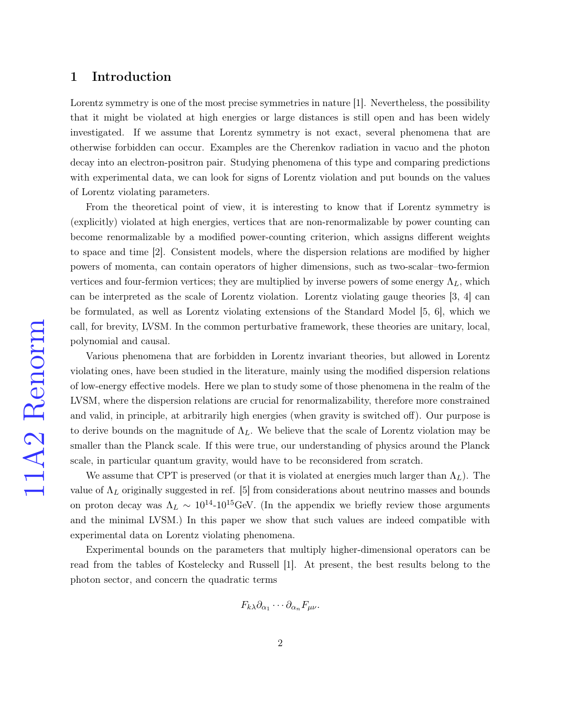## 1 Introduction

Lorentz symmetry is one of the most precise symmetries in nature [\[1\]](#page-25-0). Nevertheless, the possibility that it might be violated at high energies or large distances is still open and has been widely investigated. If we assume that Lorentz symmetry is not exact, several phenomena that are otherwise forbidden can occur. Examples are the Cherenkov radiation in vacuo and the photon decay into an electron-positron pair. Studying phenomena of this type and comparing predictions with experimental data, we can look for signs of Lorentz violation and put bounds on the values of Lorentz violating parameters.

From the theoretical point of view, it is interesting to know that if Lorentz symmetry is (explicitly) violated at high energies, vertices that are non-renormalizable by power counting can become renormalizable by a modified power-counting criterion, which assigns different weights to space and time [\[2\]](#page-25-1). Consistent models, where the dispersion relations are modified by higher powers of momenta, can contain operators of higher dimensions, such as two-scalar–two-fermion vertices and four-fermion vertices; they are multiplied by inverse powers of some energy  $\Lambda_L$ , which can be interpreted as the scale of Lorentz violation. Lorentz violating gauge theories [\[3,](#page-25-2) [4\]](#page-25-3) can be formulated, as well as Lorentz violating extensions of the Standard Model [\[5,](#page-25-4) [6\]](#page-25-5), which we call, for brevity, LVSM. In the common perturbative framework, these theories are unitary, local, polynomial and causal.

Various phenomena that are forbidden in Lorentz invariant theories, but allowed in Lorentz violating ones, have been studied in the literature, mainly using the modified dispersion relations of low-energy effective models. Here we plan to study some of those phenomena in the realm of the LVSM, where the dispersion relations are crucial for renormalizability, therefore more constrained and valid, in principle, at arbitrarily high energies (when gravity is switched off). Our purpose is to derive bounds on the magnitude of  $\Lambda_L$ . We believe that the scale of Lorentz violation may be smaller than the Planck scale. If this were true, our understanding of physics around the Planck scale, in particular quantum gravity, would have to be reconsidered from scratch.

We assume that CPT is preserved (or that it is violated at energies much larger than  $\Lambda_L$ ). The value of  $\Lambda_L$  originally suggested in ref. [\[5\]](#page-25-4) from considerations about neutrino masses and bounds on proton decay was  $\Lambda_L \sim 10^{14}$ -10<sup>15</sup>GeV. (In the appendix we briefly review those arguments and the minimal LVSM.) In this paper we show that such values are indeed compatible with experimental data on Lorentz violating phenomena.

Experimental bounds on the parameters that multiply higher-dimensional operators can be read from the tables of Kostelecky and Russell [\[1\]](#page-25-0). At present, the best results belong to the photon sector, and concern the quadratic terms

$$
F_{k\lambda}\partial_{\alpha_1}\cdots\partial_{\alpha_n}F_{\mu\nu}.
$$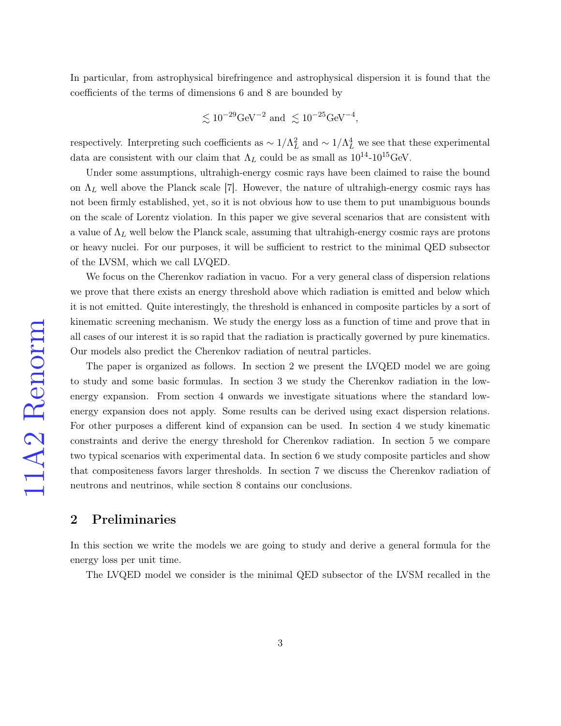In particular, from astrophysical birefringence and astrophysical dispersion it is found that the coefficients of the terms of dimensions 6 and 8 are bounded by

$$
\lesssim 10^{-29} \text{GeV}^{-2} \text{ and } \lesssim 10^{-25} \text{GeV}^{-4},
$$

respectively. Interpreting such coefficients as  $\sim 1/\Lambda_L^2$  and  $\sim 1/\Lambda_L^4$  we see that these experimental data are consistent with our claim that  $\Lambda_L$  could be as small as  $10^{14}$ - $10^{15}$ GeV.

Under some assumptions, ultrahigh-energy cosmic rays have been claimed to raise the bound on  $\Lambda_L$  well above the Planck scale [\[7\]](#page-25-6). However, the nature of ultrahigh-energy cosmic rays has not been firmly established, yet, so it is not obvious how to use them to put unambiguous bounds on the scale of Lorentz violation. In this paper we give several scenarios that are consistent with a value of  $\Lambda_L$  well below the Planck scale, assuming that ultrahigh-energy cosmic rays are protons or heavy nuclei. For our purposes, it will be sufficient to restrict to the minimal QED subsector of the LVSM, which we call LVQED.

We focus on the Cherenkov radiation in vacuo. For a very general class of dispersion relations we prove that there exists an energy threshold above which radiation is emitted and below which it is not emitted. Quite interestingly, the threshold is enhanced in composite particles by a sort of kinematic screening mechanism. We study the energy loss as a function of time and prove that in all cases of our interest it is so rapid that the radiation is practically governed by pure kinematics. Our models also predict the Cherenkov radiation of neutral particles.

The paper is organized as follows. In section 2 we present the LVQED model we are going to study and some basic formulas. In section 3 we study the Cherenkov radiation in the lowenergy expansion. From section 4 onwards we investigate situations where the standard lowenergy expansion does not apply. Some results can be derived using exact dispersion relations. For other purposes a different kind of expansion can be used. In section 4 we study kinematic constraints and derive the energy threshold for Cherenkov radiation. In section 5 we compare two typical scenarios with experimental data. In section 6 we study composite particles and show that compositeness favors larger thresholds. In section 7 we discuss the Cherenkov radiation of neutrons and neutrinos, while section 8 contains our conclusions.

## 2 Preliminaries

In this section we write the models we are going to study and derive a general formula for the energy loss per unit time.

The LVQED model we consider is the minimal QED subsector of the LVSM recalled in the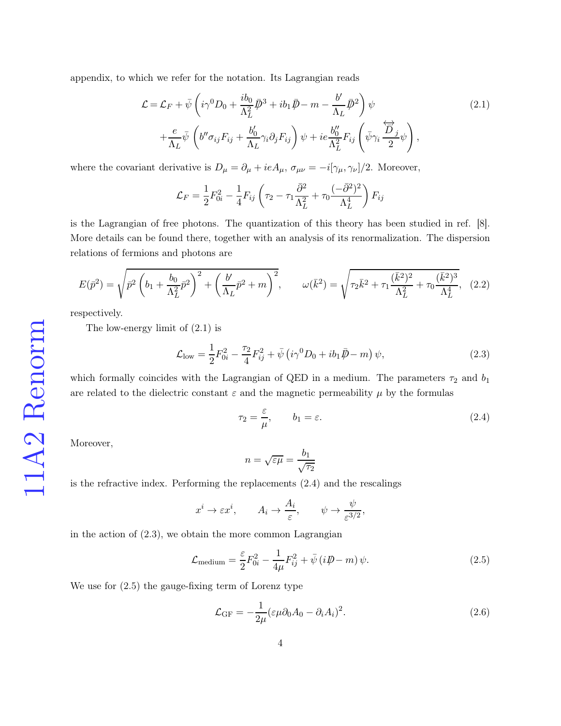appendix, to which we refer for the notation. Its Lagrangian reads

<span id="page-3-0"></span>
$$
\mathcal{L} = \mathcal{L}_F + \bar{\psi} \left( i\gamma^0 D_0 + \frac{i b_0}{\Lambda_L^2} \bar{D}^3 + i b_1 \bar{D} - m - \frac{b'}{\Lambda_L} \bar{D}^2 \right) \psi + \frac{e}{\Lambda_L} \bar{\psi} \left( b'' \sigma_{ij} F_{ij} + \frac{b'_0}{\Lambda_L} \gamma_i \partial_j F_{ij} \right) \psi + ie \frac{b''_0}{\Lambda_L^2} F_{ij} \left( \bar{\psi} \gamma_i \frac{\overleftrightarrow{D}_j}{2} \psi \right),
$$
\n(2.1)

where the covariant derivative is  $D_{\mu} = \partial_{\mu} + ieA_{\mu}, \sigma_{\mu\nu} = -i[\gamma_{\mu}, \gamma_{\nu}]/2$ . Moreover,

$$
\mathcal{L}_F = \frac{1}{2} F_{0i}^2 - \frac{1}{4} F_{ij} \left( \tau_2 - \tau_1 \frac{\bar{\partial}^2}{\Lambda_L^2} + \tau_0 \frac{(-\bar{\partial}^2)^2}{\Lambda_L^4} \right) F_{ij}
$$

is the Lagrangian of free photons. The quantization of this theory has been studied in ref. [\[8\]](#page-25-7). More details can be found there, together with an analysis of its renormalization. The dispersion relations of fermions and photons are

<span id="page-3-5"></span>
$$
E(\bar{p}^2) = \sqrt{\bar{p}^2 \left(b_1 + \frac{b_0}{\Lambda_L^2} \bar{p}^2\right)^2 + \left(\frac{b'}{\Lambda_L} \bar{p}^2 + m\right)^2}, \qquad \omega(\bar{k}^2) = \sqrt{\tau_2 \bar{k}^2 + \tau_1 \frac{(\bar{k}^2)^2}{\Lambda_L^2} + \tau_0 \frac{(\bar{k}^2)^3}{\Lambda_L^4}}, \quad (2.2)
$$

respectively.

The low-energy limit of [\(2.1\)](#page-3-0) is

<span id="page-3-2"></span>
$$
\mathcal{L}_{\text{low}} = \frac{1}{2} F_{0i}^2 - \frac{\tau_2}{4} F_{ij}^2 + \bar{\psi} \left( i \gamma^0 D_0 + i b_1 \bar{\mathcal{P}} - m \right) \psi, \tag{2.3}
$$

which formally coincides with the Lagrangian of QED in a medium. The parameters  $\tau_2$  and  $b_1$ are related to the dielectric constant  $\varepsilon$  and the magnetic permeability  $\mu$  by the formulas

<span id="page-3-1"></span>
$$
\tau_2 = \frac{\varepsilon}{\mu}, \qquad b_1 = \varepsilon. \tag{2.4}
$$

Moreover,

$$
n = \sqrt{\varepsilon \mu} = \frac{b_1}{\sqrt{\tau_2}}
$$

is the refractive index. Performing the replacements [\(2.4\)](#page-3-1) and the rescalings

$$
x^i \to \varepsilon x^i
$$
,  $A_i \to \frac{A_i}{\varepsilon}$ ,  $\psi \to \frac{\psi}{\varepsilon^{3/2}}$ ,

in the action of  $(2.3)$ , we obtain the more common Lagrangian

<span id="page-3-3"></span>
$$
\mathcal{L}_{\text{medium}} = \frac{\varepsilon}{2} F_{0i}^2 - \frac{1}{4\mu} F_{ij}^2 + \bar{\psi} \left( i \rlap{\,/}D - m \right) \psi. \tag{2.5}
$$

We use for [\(2.5\)](#page-3-3) the gauge-fixing term of Lorenz type

<span id="page-3-4"></span>
$$
\mathcal{L}_{GF} = -\frac{1}{2\mu} (\varepsilon \mu \partial_0 A_0 - \partial_i A_i)^2.
$$
 (2.6)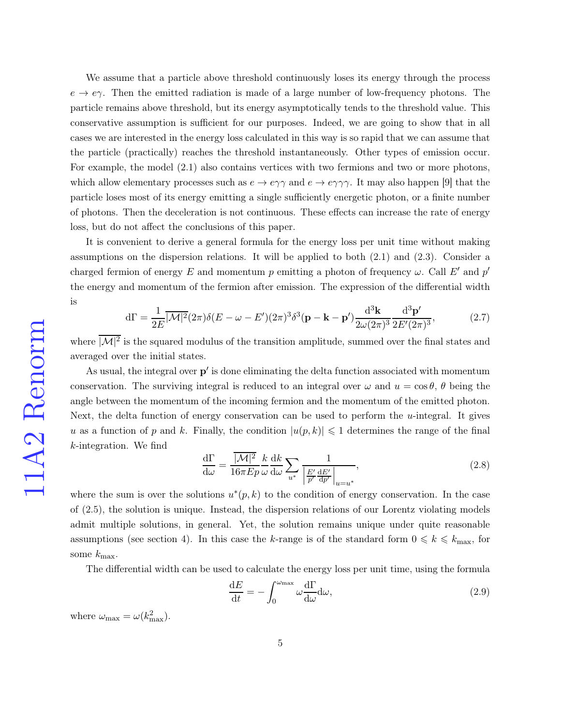We assume that a particle above threshold continuously loses its energy through the process  $e \rightarrow e \gamma$ . Then the emitted radiation is made of a large number of low-frequency photons. The particle remains above threshold, but its energy asymptotically tends to the threshold value. This conservative assumption is sufficient for our purposes. Indeed, we are going to show that in all cases we are interested in the energy loss calculated in this way is so rapid that we can assume that the particle (practically) reaches the threshold instantaneously. Other types of emission occur. For example, the model [\(2.1\)](#page-3-0) also contains vertices with two fermions and two or more photons, which allow elementary processes such as  $e \to e\gamma\gamma$  and  $e \to e\gamma\gamma\gamma$ . It may also happen [\[9\]](#page-25-8) that the particle loses most of its energy emitting a single sufficiently energetic photon, or a finite number of photons. Then the deceleration is not continuous. These effects can increase the rate of energy loss, but do not affect the conclusions of this paper.

It is convenient to derive a general formula for the energy loss per unit time without making assumptions on the dispersion relations. It will be applied to both [\(2.1\)](#page-3-0) and [\(2.3\)](#page-3-2). Consider a charged fermion of energy E and momentum p emitting a photon of frequency  $\omega$ . Call E' and p' the energy and momentum of the fermion after emission. The expression of the differential width is

$$
d\Gamma = \frac{1}{2E} \overline{|\mathcal{M}|^2} (2\pi) \delta(E - \omega - E')(2\pi)^3 \delta^3(\mathbf{p} - \mathbf{k} - \mathbf{p}') \frac{d^3 \mathbf{k}}{2\omega (2\pi)^3} \frac{d^3 \mathbf{p}'}{2E'(2\pi)^3},
$$
(2.7)

where  $|M|^2$  is the squared modulus of the transition amplitude, summed over the final states and averaged over the initial states.

As usual, the integral over  $p'$  is done eliminating the delta function associated with momentum conservation. The surviving integral is reduced to an integral over  $\omega$  and  $u = \cos \theta$ ,  $\theta$  being the angle between the momentum of the incoming fermion and the momentum of the emitted photon. Next, the delta function of energy conservation can be used to perform the  $u$ -integral. It gives u as a function of p and k. Finally, the condition  $|u(p, k)| \leq 1$  determines the range of the final k-integration. We find

<span id="page-4-0"></span>
$$
\frac{d\Gamma}{d\omega} = \frac{\overline{|\mathcal{M}|^2}}{16\pi E p} \frac{k}{\omega} \frac{dk}{d\omega} \sum_{u^*} \frac{1}{\left|\frac{E'}{p'} \frac{dE'}{dp'}\right|_{u=u^*}},\tag{2.8}
$$

where the sum is over the solutions  $u^*(p, k)$  to the condition of energy conservation. In the case of [\(2.5\)](#page-3-3), the solution is unique. Instead, the dispersion relations of our Lorentz violating models admit multiple solutions, in general. Yet, the solution remains unique under quite reasonable assumptions (see section 4). In this case the k-range is of the standard form  $0 \le k \le k_{\text{max}}$ , for some  $k_{\text{max}}$ .

The differential width can be used to calculate the energy loss per unit time, using the formula

<span id="page-4-1"></span>
$$
\frac{\mathrm{d}E}{\mathrm{d}t} = -\int_0^{\omega_{\text{max}}} \omega \frac{\mathrm{d}\Gamma}{\mathrm{d}\omega} \mathrm{d}\omega,\tag{2.9}
$$

where  $\omega_{\text{max}} = \omega(k_{\text{max}}^2)$ .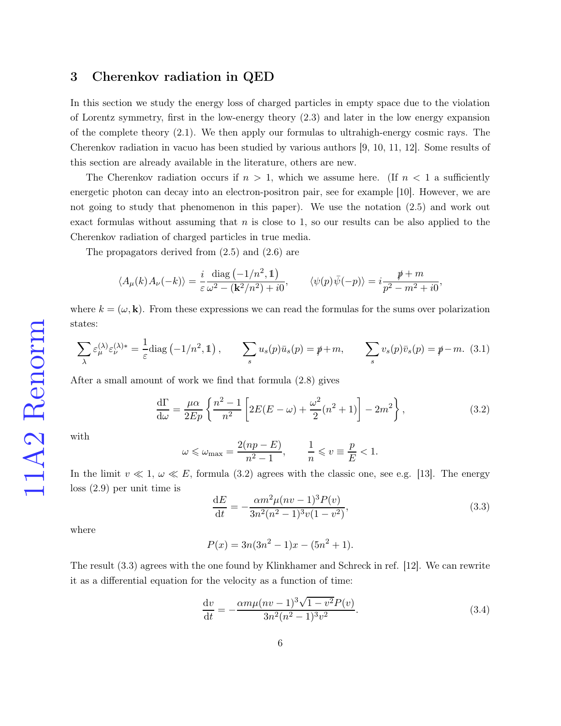## 3 Cherenkov radiation in QED

In this section we study the energy loss of charged particles in empty space due to the violation of Lorentz symmetry, first in the low-energy theory [\(2.3\)](#page-3-2) and later in the low energy expansion of the complete theory [\(2.1\)](#page-3-0). We then apply our formulas to ultrahigh-energy cosmic rays. The Cherenkov radiation in vacuo has been studied by various authors [\[9,](#page-25-8) [10,](#page-26-0) [11,](#page-26-1) [12\]](#page-26-2). Some results of this section are already available in the literature, others are new.

The Cherenkov radiation occurs if  $n > 1$ , which we assume here. (If  $n < 1$  a sufficiently energetic photon can decay into an electron-positron pair, see for example [\[10\]](#page-26-0). However, we are not going to study that phenomenon in this paper). We use the notation [\(2.5\)](#page-3-3) and work out exact formulas without assuming that  $n$  is close to 1, so our results can be also applied to the Cherenkov radiation of charged particles in true media.

The propagators derived from [\(2.5\)](#page-3-3) and [\(2.6\)](#page-3-4) are

$$
\langle A_{\mu}(k) A_{\nu}(-k) \rangle = \frac{i}{\varepsilon} \frac{\text{diag}(-1/n^2, 1)}{\omega^2 - (\mathbf{k}^2/n^2) + i0}, \qquad \langle \psi(p) \bar{\psi}(-p) \rangle = i \frac{\mathcal{p} + m}{p^2 - m^2 + i0},
$$

where  $k = (\omega, \mathbf{k})$ . From these expressions we can read the formulas for the sums over polarization states:

$$
\sum_{\lambda} \varepsilon_{\mu}^{(\lambda)} \varepsilon_{\nu}^{(\lambda)*} = \frac{1}{\varepsilon} \text{diag}\left(-1/n^2, 1\right), \qquad \sum_{s} u_s(p)\bar{u}_s(p) = \rlap{\,/}p + m, \qquad \sum_{s} v_s(p)\bar{v}_s(p) = \rlap{\,/}p - m. \tag{3.1}
$$

After a small amount of work we find that formula [\(2.8\)](#page-4-0) gives

<span id="page-5-0"></span>
$$
\frac{d\Gamma}{d\omega} = \frac{\mu\alpha}{2Ep} \left\{ \frac{n^2 - 1}{n^2} \left[ 2E(E - \omega) + \frac{\omega^2}{2}(n^2 + 1) \right] - 2m^2 \right\},\tag{3.2}
$$

with

$$
\omega \leqslant \omega_{\text{max}} = \frac{2(np - E)}{n^2 - 1}, \qquad \frac{1}{n} \leqslant v \equiv \frac{p}{E} < 1.
$$

In the limit  $v \ll 1, \omega \ll E$ , formula [\(3.2\)](#page-5-0) agrees with the classic one, see e.g. [\[13\]](#page-26-3). The energy loss [\(2.9\)](#page-4-1) per unit time is

<span id="page-5-1"></span>
$$
\frac{dE}{dt} = -\frac{\alpha m^2 \mu (nv - 1)^3 P(v)}{3n^2 (n^2 - 1)^3 v (1 - v^2)},
$$
\n(3.3)

where

$$
P(x) = 3n(3n^2 - 1)x - (5n^2 + 1).
$$

The result [\(3.3\)](#page-5-1) agrees with the one found by Klinkhamer and Schreck in ref. [\[12\]](#page-26-2). We can rewrite it as a differential equation for the velocity as a function of time:

<span id="page-5-2"></span>
$$
\frac{dv}{dt} = -\frac{\alpha m\mu (nv-1)^3 \sqrt{1-v^2} P(v)}{3n^2 (n^2-1)^3 v^2}.
$$
\n(3.4)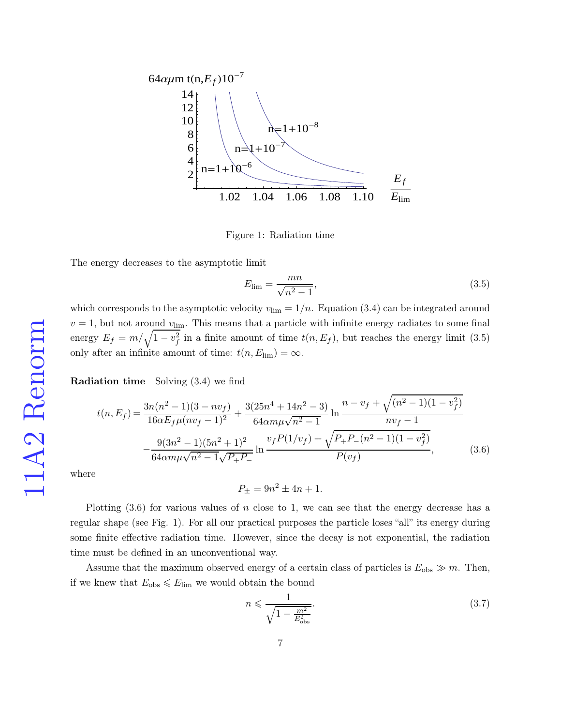

Figure 1: Radiation time

The energy decreases to the asymptotic limit

<span id="page-6-0"></span>
$$
E_{\lim} = \frac{mn}{\sqrt{n^2 - 1}},\tag{3.5}
$$

which corresponds to the asymptotic velocity  $v_{\text{lim}} = 1/n$ . Equation [\(3.4\)](#page-5-2) can be integrated around  $v = 1$ , but not around  $v_{\text{lim}}$ . This means that a particle with infinite energy radiates to some final energy  $E_f = m/\sqrt{1 - v_f^2}$  in a finite amount of time  $t(n, E_f)$ , but reaches the energy limit [\(3.5\)](#page-6-0) only after an infinite amount of time:  $t(n, E_{\text{lim}}) = \infty$ .

Radiation time Solving [\(3.4\)](#page-5-2) we find

<span id="page-6-1"></span>
$$
t(n, E_f) = \frac{3n(n^2 - 1)(3 - nv_f)}{16\alpha E_f \mu(nv_f - 1)^2} + \frac{3(25n^4 + 14n^2 - 3)}{64\alpha m\mu\sqrt{n^2 - 1}} \ln \frac{n - v_f + \sqrt{(n^2 - 1)(1 - v_f^2)}}{nv_f - 1} - \frac{9(3n^2 - 1)(5n^2 + 1)^2}{64\alpha m\mu\sqrt{n^2 - 1}\sqrt{P_+ P_-}} \ln \frac{v_f P(1/v_f) + \sqrt{P_+ P_- (n^2 - 1)(1 - v_f^2)}}{P(v_f)},
$$
(3.6)

where

 $P_{\pm} = 9n^2 \pm 4n + 1.$ 

Plotting  $(3.6)$  for various values of n close to 1, we can see that the energy decrease has a regular shape (see Fig. 1). For all our practical purposes the particle loses "all" its energy during some finite effective radiation time. However, since the decay is not exponential, the radiation time must be defined in an unconventional way.

Assume that the maximum observed energy of a certain class of particles is  $E_{obs} \gg m$ . Then, if we knew that  $E_{obs} \leq E_{\text{lim}}$  we would obtain the bound

<span id="page-6-2"></span>
$$
n \leqslant \frac{1}{\sqrt{1 - \frac{m^2}{E_{\text{obs}}^2}}}.\tag{3.7}
$$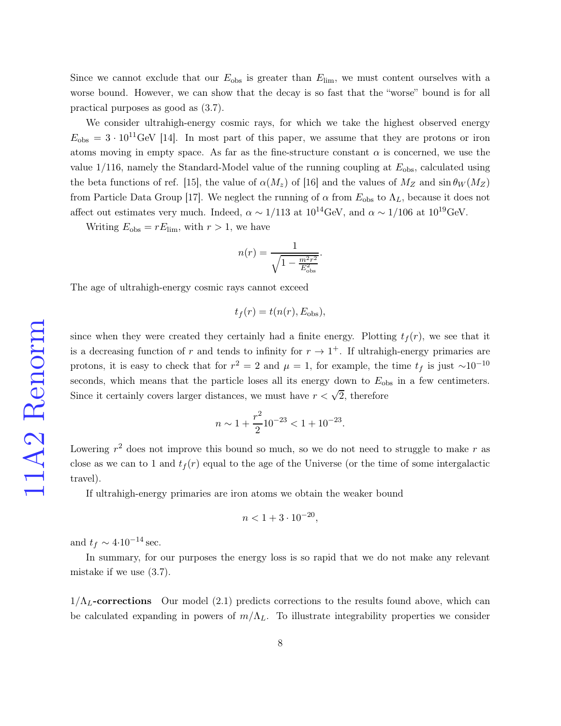Since we cannot exclude that our  $E_{\text{obs}}$  is greater than  $E_{\text{lim}}$ , we must content ourselves with a worse bound. However, we can show that the decay is so fast that the "worse" bound is for all practical purposes as good as [\(3.7\)](#page-6-2).

We consider ultrahigh-energy cosmic rays, for which we take the highest observed energy  $E_{\rm obs} = 3 \cdot 10^{11} \text{GeV}$  [\[14\]](#page-26-4). In most part of this paper, we assume that they are protons or iron atoms moving in empty space. As far as the fine-structure constant  $\alpha$  is concerned, we use the value  $1/116$ , namely the Standard-Model value of the running coupling at  $E_{obs}$ , calculated using the beta functions of ref. [\[15\]](#page-26-5), the value of  $\alpha(M_z)$  of [\[16\]](#page-26-6) and the values of  $M_Z$  and  $\sin \theta_W(M_Z)$ from Particle Data Group [\[17\]](#page-26-7). We neglect the running of  $\alpha$  from  $E_{obs}$  to  $\Lambda_L$ , because it does not affect out estimates very much. Indeed,  $\alpha \sim 1/113$  at  $10^{14}$ GeV, and  $\alpha \sim 1/106$  at  $10^{19}$ GeV.

Writing  $E_{\text{obs}} = rE_{\text{lim}}$ , with  $r > 1$ , we have

$$
n(r) = \frac{1}{\sqrt{1 - \frac{m^2 r^2}{E_{\text{obs}}^2}}}
$$

.

The age of ultrahigh-energy cosmic rays cannot exceed

$$
t_f(r) = t(n(r), E_{\text{obs}}),
$$

since when they were created they certainly had a finite energy. Plotting  $t<sub>f</sub>(r)$ , we see that it is a decreasing function of r and tends to infinity for  $r \to 1^+$ . If ultrahigh-energy primaries are protons, it is easy to check that for  $r^2 = 2$  and  $\mu = 1$ , for example, the time  $t_f$  is just ~10<sup>-10</sup> seconds, which means that the particle loses all its energy down to  $E_{obs}$  in a few centimeters. Since it certainly covers larger distances, we must have  $r < \sqrt{2}$ , therefore

$$
n \sim 1 + \frac{r^2}{2} 10^{-23} < 1 + 10^{-23}.
$$

Lowering  $r^2$  does not improve this bound so much, so we do not need to struggle to make r as close as we can to 1 and  $t_f(r)$  equal to the age of the Universe (or the time of some intergalactic travel).

If ultrahigh-energy primaries are iron atoms we obtain the weaker bound

$$
n < 1 + 3 \cdot 10^{-20},
$$

and  $t_f \sim 4 \cdot 10^{-14}$  sec.

In summary, for our purposes the energy loss is so rapid that we do not make any relevant mistake if we use [\(3.7\)](#page-6-2).

 $1/\Lambda_L$ -corrections Our model [\(2.1\)](#page-3-0) predicts corrections to the results found above, which can be calculated expanding in powers of  $m/\Lambda_L$ . To illustrate integrability properties we consider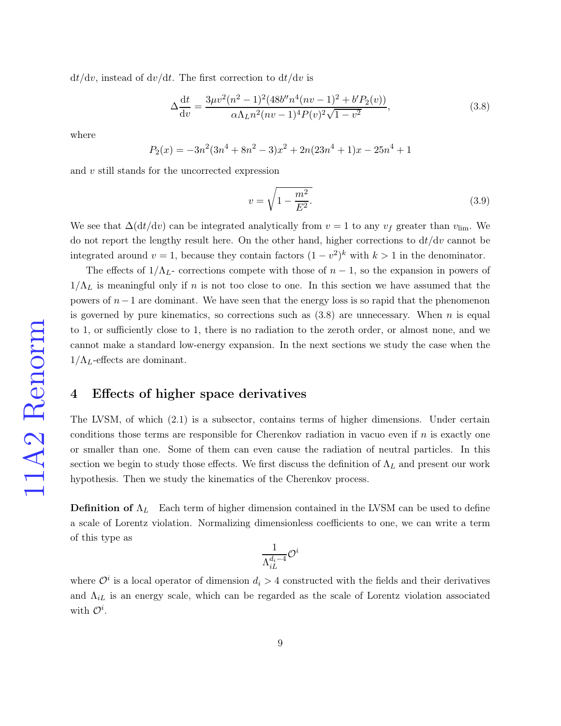$dt/dv$ , instead of  $dv/dt$ . The first correction to  $dt/dv$  is

<span id="page-8-0"></span>
$$
\Delta \frac{dt}{dv} = \frac{3\mu v^2 (n^2 - 1)^2 (48b'' n^4 (nv - 1)^2 + b' P_2(v))}{\alpha \Lambda_L n^2 (nv - 1)^4 P(v)^2 \sqrt{1 - v^2}},
$$
\n(3.8)

where

$$
P_2(x) = -3n^2(3n^4 + 8n^2 - 3)x^2 + 2n(23n^4 + 1)x - 25n^4 + 1
$$

and  $v$  still stands for the uncorrected expression

<span id="page-8-1"></span>
$$
v = \sqrt{1 - \frac{m^2}{E^2}}.
$$
\n(3.9)

We see that  $\Delta(\frac{dt}{dv})$  can be integrated analytically from  $v = 1$  to any  $v_f$  greater than  $v_{\text{lim}}$ . We do not report the lengthy result here. On the other hand, higher corrections to  $dt/dv$  cannot be integrated around  $v = 1$ , because they contain factors  $(1 - v^2)^k$  with  $k > 1$  in the denominator.

The effects of  $1/\Lambda_L$ - corrections compete with those of  $n-1$ , so the expansion in powers of  $1/\Lambda_L$  is meaningful only if n is not too close to one. In this section we have assumed that the powers of  $n-1$  are dominant. We have seen that the energy loss is so rapid that the phenomenon is governed by pure kinematics, so corrections such as  $(3.8)$  are unnecessary. When n is equal to 1, or sufficiently close to 1, there is no radiation to the zeroth order, or almost none, and we cannot make a standard low-energy expansion. In the next sections we study the case when the  $1/\Lambda_L$ -effects are dominant.

## 4 Effects of higher space derivatives

The LVSM, of which [\(2.1\)](#page-3-0) is a subsector, contains terms of higher dimensions. Under certain conditions those terms are responsible for Cherenkov radiation in vacuo even if  $n$  is exactly one or smaller than one. Some of them can even cause the radiation of neutral particles. In this section we begin to study those effects. We first discuss the definition of  $\Lambda_L$  and present our work hypothesis. Then we study the kinematics of the Cherenkov process.

**Definition of**  $\Lambda_L$  Each term of higher dimension contained in the LVSM can be used to define a scale of Lorentz violation. Normalizing dimensionless coefficients to one, we can write a term of this type as

$$
\frac{1}{\Lambda_{iL}^{d_i-4}}\mathcal{O}^i
$$

where  $\mathcal{O}^i$  is a local operator of dimension  $d_i > 4$  constructed with the fields and their derivatives and  $\Lambda_{iL}$  is an energy scale, which can be regarded as the scale of Lorentz violation associated with  $\mathcal{O}^i$ .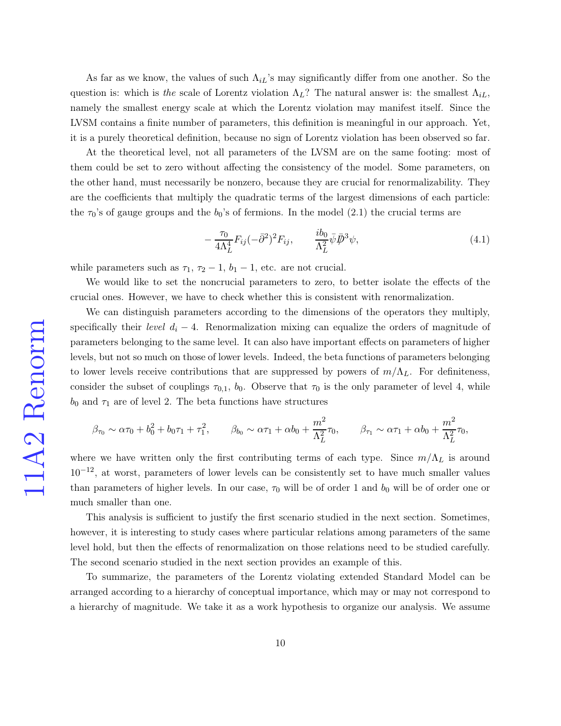As far as we know, the values of such  $\Lambda_{iL}$ 's may significantly differ from one another. So the question is: which is the scale of Lorentz violation  $\Lambda_L$ ? The natural answer is: the smallest  $\Lambda_{iL}$ , namely the smallest energy scale at which the Lorentz violation may manifest itself. Since the LVSM contains a finite number of parameters, this definition is meaningful in our approach. Yet, it is a purely theoretical definition, because no sign of Lorentz violation has been observed so far.

At the theoretical level, not all parameters of the LVSM are on the same footing: most of them could be set to zero without affecting the consistency of the model. Some parameters, on the other hand, must necessarily be nonzero, because they are crucial for renormalizability. They are the coefficients that multiply the quadratic terms of the largest dimensions of each particle: the  $\tau_0$ 's of gauge groups and the  $b_0$ 's of fermions. In the model [\(2.1\)](#page-3-0) the crucial terms are

<span id="page-9-0"></span>
$$
-\frac{\tau_0}{4\Lambda_L^4} F_{ij} (-\bar{\partial}^2)^2 F_{ij}, \qquad \frac{i b_0}{\Lambda_L^2} \bar{\psi} \bar{\psi}^3 \psi,
$$
\n(4.1)

while parameters such as  $\tau_1$ ,  $\tau_2 - 1$ ,  $b_1 - 1$ , etc. are not crucial.

We would like to set the noncrucial parameters to zero, to better isolate the effects of the crucial ones. However, we have to check whether this is consistent with renormalization.

We can distinguish parameters according to the dimensions of the operators they multiply, specifically their *level*  $d_i - 4$ . Renormalization mixing can equalize the orders of magnitude of parameters belonging to the same level. It can also have important effects on parameters of higher levels, but not so much on those of lower levels. Indeed, the beta functions of parameters belonging to lower levels receive contributions that are suppressed by powers of  $m/\Lambda_L$ . For definiteness, consider the subset of couplings  $\tau_{0,1}$ ,  $b_0$ . Observe that  $\tau_0$  is the only parameter of level 4, while  $b_0$  and  $\tau_1$  are of level 2. The beta functions have structures

$$
\beta_{\tau_0} \sim \alpha \tau_0 + b_0^2 + b_0 \tau_1 + \tau_1^2
$$
,  $\beta_{b_0} \sim \alpha \tau_1 + \alpha b_0 + \frac{m^2}{\Lambda_L^2} \tau_0$ ,  $\beta_{\tau_1} \sim \alpha \tau_1 + \alpha b_0 + \frac{m^2}{\Lambda_L^2} \tau_0$ ,

where we have written only the first contributing terms of each type. Since  $m/\Lambda_L$  is around  $10^{-12}$ , at worst, parameters of lower levels can be consistently set to have much smaller values than parameters of higher levels. In our case,  $\tau_0$  will be of order 1 and  $b_0$  will be of order one or much smaller than one.

This analysis is sufficient to justify the first scenario studied in the next section. Sometimes, however, it is interesting to study cases where particular relations among parameters of the same level hold, but then the effects of renormalization on those relations need to be studied carefully. The second scenario studied in the next section provides an example of this.

To summarize, the parameters of the Lorentz violating extended Standard Model can be arranged according to a hierarchy of conceptual importance, which may or may not correspond to a hierarchy of magnitude. We take it as a work hypothesis to organize our analysis. We assume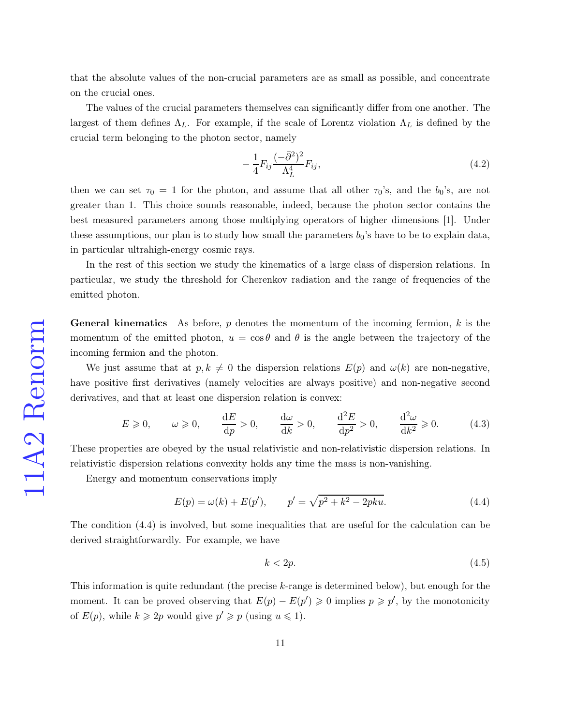that the absolute values of the non-crucial parameters are as small as possible, and concentrate on the crucial ones.

The values of the crucial parameters themselves can significantly differ from one another. The largest of them defines  $\Lambda_L$ . For example, if the scale of Lorentz violation  $\Lambda_L$  is defined by the crucial term belonging to the photon sector, namely

$$
-\frac{1}{4}F_{ij}\frac{(-\bar{\partial}^2)^2}{\Lambda_L^4}F_{ij},\tag{4.2}
$$

then we can set  $\tau_0 = 1$  for the photon, and assume that all other  $\tau_0$ 's, and the  $b_0$ 's, are not greater than 1. This choice sounds reasonable, indeed, because the photon sector contains the best measured parameters among those multiplying operators of higher dimensions [\[1\]](#page-25-0). Under these assumptions, our plan is to study how small the parameters  $b_0$ 's have to be to explain data, in particular ultrahigh-energy cosmic rays.

In the rest of this section we study the kinematics of a large class of dispersion relations. In particular, we study the threshold for Cherenkov radiation and the range of frequencies of the emitted photon.

**General kinematics** As before, p denotes the momentum of the incoming fermion, k is the momentum of the emitted photon,  $u = \cos \theta$  and  $\theta$  is the angle between the trajectory of the incoming fermion and the photon.

We just assume that at  $p, k \neq 0$  the dispersion relations  $E(p)$  and  $\omega(k)$  are non-negative, have positive first derivatives (namely velocities are always positive) and non-negative second derivatives, and that at least one dispersion relation is convex:

<span id="page-10-1"></span>
$$
E \ge 0, \qquad \omega \ge 0, \qquad \frac{\mathrm{d}E}{\mathrm{d}p} > 0, \qquad \frac{\mathrm{d}\omega}{\mathrm{d}k} > 0, \qquad \frac{\mathrm{d}^2E}{\mathrm{d}p^2} > 0, \qquad \frac{\mathrm{d}^2\omega}{\mathrm{d}k^2} \ge 0. \tag{4.3}
$$

These properties are obeyed by the usual relativistic and non-relativistic dispersion relations. In relativistic dispersion relations convexity holds any time the mass is non-vanishing.

Energy and momentum conservations imply

<span id="page-10-0"></span>
$$
E(p) = \omega(k) + E(p'), \qquad p' = \sqrt{p^2 + k^2 - 2pku}.
$$
\n(4.4)

The condition [\(4.4\)](#page-10-0) is involved, but some inequalities that are useful for the calculation can be derived straightforwardly. For example, we have

$$
k < 2p.\tag{4.5}
$$

This information is quite redundant (the precise k-range is determined below), but enough for the moment. It can be proved observing that  $E(p) - E(p') \geq 0$  implies  $p \geq p'$ , by the monotonicity of  $E(p)$ , while  $k \geq 2p$  would give  $p' \geq p$  (using  $u \leq 1$ ).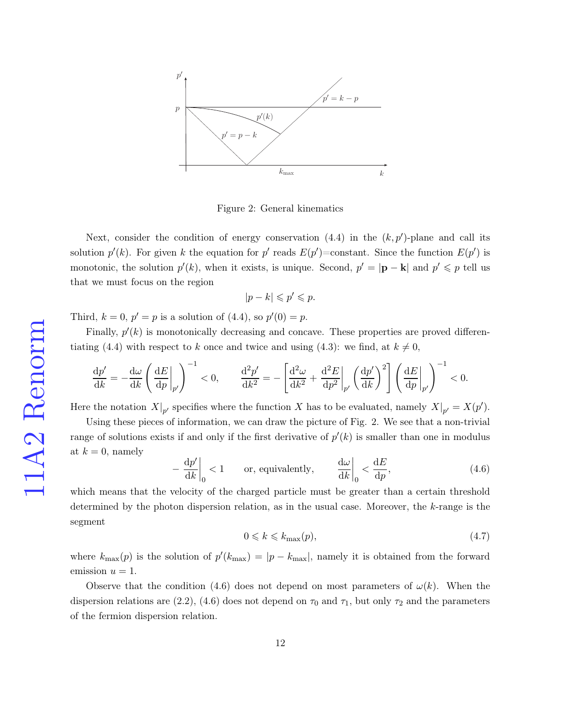

Figure 2: General kinematics

Next, consider the condition of energy conservation  $(4.4)$  in the  $(k, p')$ -plane and call its solution  $p'(k)$ . For given k the equation for p' reads  $E(p')$ =constant. Since the function  $E(p')$  is monotonic, the solution  $p'(k)$ , when it exists, is unique. Second,  $p' = |\mathbf{p} - \mathbf{k}|$  and  $p' \leq p$  tell us that we must focus on the region

$$
|p-k| \leqslant p' \leqslant p.
$$

Third,  $k = 0, p' = p$  is a solution of [\(4.4\)](#page-10-0), so  $p'(0) = p$ .

Finally,  $p'(k)$  is monotonically decreasing and concave. These properties are proved differen-tiating [\(4.4\)](#page-10-0) with respect to k once and twice and using [\(4.3\)](#page-10-1): we find, at  $k \neq 0$ ,

$$
\frac{\mathrm{d}p'}{\mathrm{d}k} = -\frac{\mathrm{d}\omega}{\mathrm{d}k}\left(\left.\frac{\mathrm{d}E}{\mathrm{d}p}\right|_{p'}\right)^{-1} < 0, \qquad \left.\frac{\mathrm{d}^2p'}{\mathrm{d}k^2} = -\left[\frac{\mathrm{d}^2\omega}{\mathrm{d}k^2} + \left.\frac{\mathrm{d}^2E}{\mathrm{d}p^2}\right|_{p'}\left(\left.\frac{\mathrm{d}p'}{\mathrm{d}k}\right)^2\right]\left(\left.\frac{\mathrm{d}E}{\mathrm{d}p}\right|_{p'}\right)^{-1} < 0.
$$

Here the notation  $X|_{p'}$  specifies where the function X has to be evaluated, namely  $X|_{p'} = X(p')$ .

Using these pieces of information, we can draw the picture of Fig. 2. We see that a non-trivial range of solutions exists if and only if the first derivative of  $p'(k)$  is smaller than one in modulus at  $k = 0$ , namely

<span id="page-11-0"></span>
$$
-\left.\frac{\mathrm{d}p'}{\mathrm{d}k}\right|_{0} < 1 \qquad \text{or, equivalently,} \qquad \left.\frac{\mathrm{d}\omega}{\mathrm{d}k}\right|_{0} < \frac{\mathrm{d}E}{\mathrm{d}p},\tag{4.6}
$$

which means that the velocity of the charged particle must be greater than a certain threshold determined by the photon dispersion relation, as in the usual case. Moreover, the k-range is the segment

<span id="page-11-1"></span>
$$
0 \leqslant k \leqslant k_{\text{max}}(p),\tag{4.7}
$$

where  $k_{\text{max}}(p)$  is the solution of  $p'(k_{\text{max}}) = |p - k_{\text{max}}|$ , namely it is obtained from the forward emission  $u = 1$ .

Observe that the condition [\(4.6\)](#page-11-0) does not depend on most parameters of  $\omega(k)$ . When the dispersion relations are [\(2.2\)](#page-3-5), [\(4.6\)](#page-11-0) does not depend on  $\tau_0$  and  $\tau_1$ , but only  $\tau_2$  and the parameters of the fermion dispersion relation.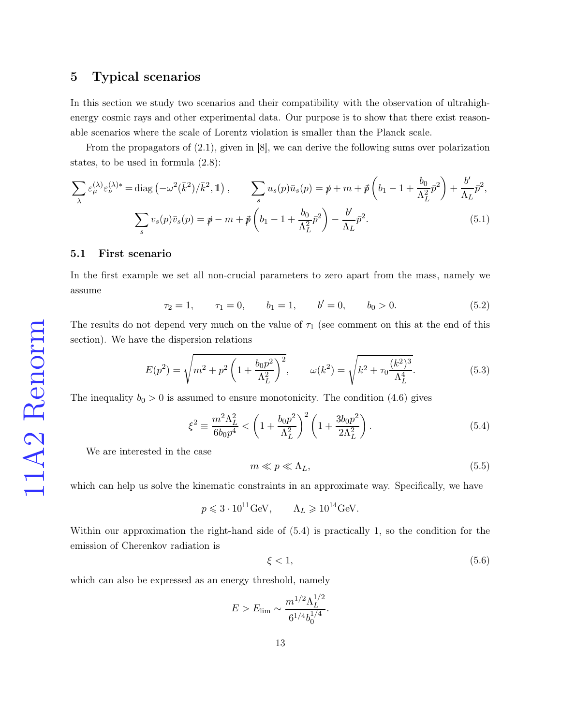## 5 Typical scenarios

In this section we study two scenarios and their compatibility with the observation of ultrahighenergy cosmic rays and other experimental data. Our purpose is to show that there exist reasonable scenarios where the scale of Lorentz violation is smaller than the Planck scale.

From the propagators of [\(2.1\)](#page-3-0), given in [\[8\]](#page-25-7), we can derive the following sums over polarization states, to be used in formula [\(2.8\)](#page-4-0):

$$
\sum_{\lambda} \varepsilon_{\mu}^{(\lambda)} \varepsilon_{\nu}^{(\lambda)*} = \text{diag}\left(-\omega^2(\bar{k}^2)/\bar{k}^2, \mathbb{1}\right), \qquad \sum_{s} u_s(p)\bar{u}_s(p) = \not{p} + m + \not{p}\left(b_1 - 1 + \frac{b_0}{\Lambda_L^2}\bar{p}^2\right) + \frac{b'}{\Lambda_L}\bar{p}^2,
$$
\n
$$
\sum_{s} v_s(p)\bar{v}_s(p) = \not{p} - m + \not{p}\left(b_1 - 1 + \frac{b_0}{\Lambda_L^2}\bar{p}^2\right) - \frac{b'}{\Lambda_L}\bar{p}^2. \tag{5.1}
$$

#### 5.1 First scenario

In the first example we set all non-crucial parameters to zero apart from the mass, namely we assume

<span id="page-12-2"></span>
$$
\tau_2 = 1, \qquad \tau_1 = 0, \qquad b_1 = 1, \qquad b' = 0, \qquad b_0 > 0. \tag{5.2}
$$

The results do not depend very much on the value of  $\tau_1$  (see comment on this at the end of this section). We have the dispersion relations

$$
E(p^2) = \sqrt{m^2 + p^2 \left(1 + \frac{b_0 p^2}{\Lambda_L^2}\right)^2}, \qquad \omega(k^2) = \sqrt{k^2 + \tau_0 \frac{(k^2)^3}{\Lambda_L^4}}.
$$
 (5.3)

The inequality  $b_0 > 0$  is assumed to ensure monotonicity. The condition [\(4.6\)](#page-11-0) gives

<span id="page-12-0"></span>
$$
\xi^2 \equiv \frac{m^2 \Lambda_L^2}{6b_0 p^4} < \left(1 + \frac{b_0 p^2}{\Lambda_L^2}\right)^2 \left(1 + \frac{3b_0 p^2}{2\Lambda_L^2}\right). \tag{5.4}
$$

We are interested in the case

<span id="page-12-1"></span>
$$
m \ll p \ll \Lambda_L,\tag{5.5}
$$

which can help us solve the kinematic constraints in an approximate way. Specifically, we have

$$
p \leq 3 \cdot 10^{11} \text{GeV}, \qquad \Lambda_L \geq 10^{14} \text{GeV}.
$$

Within our approximation the right-hand side of [\(5.4\)](#page-12-0) is practically 1, so the condition for the emission of Cherenkov radiation is

$$
\xi < 1,\tag{5.6}
$$

which can also be expressed as an energy threshold, namely

$$
E > E_{\text{lim}} \sim \frac{m^{1/2} \Lambda_L^{1/2}}{6^{1/4} b_0^{1/4}}.
$$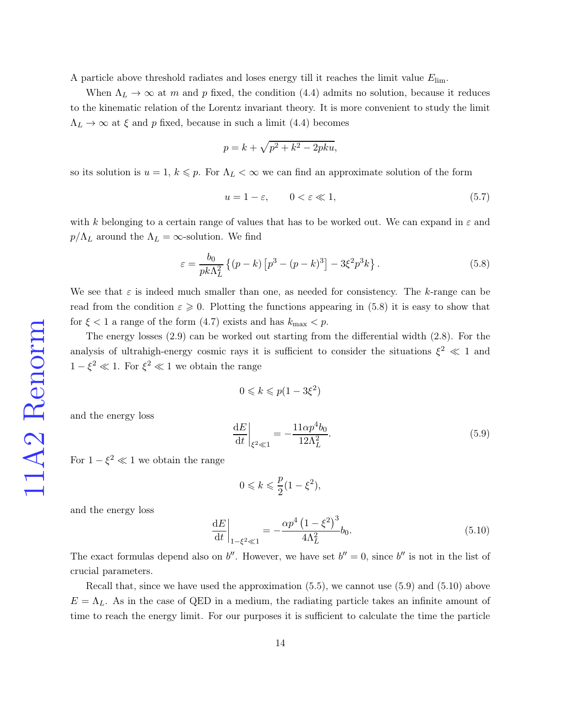A particle above threshold radiates and loses energy till it reaches the limit value  $E_{\text{lim}}$ .

When  $\Lambda_L \to \infty$  at m and p fixed, the condition [\(4.4\)](#page-10-0) admits no solution, because it reduces to the kinematic relation of the Lorentz invariant theory. It is more convenient to study the limit  $\Lambda_L \rightarrow \infty$  at  $\xi$  and p fixed, because in such a limit [\(4.4\)](#page-10-0) becomes

$$
p = k + \sqrt{p^2 + k^2 - 2pku},
$$

so its solution is  $u = 1, k \leq p$ . For  $\Lambda_L < \infty$  we can find an approximate solution of the form

$$
u = 1 - \varepsilon, \qquad 0 < \varepsilon \ll 1,\tag{5.7}
$$

with k belonging to a certain range of values that has to be worked out. We can expand in  $\varepsilon$  and  $p/\Lambda_L$  around the  $\Lambda_L = \infty$ -solution. We find

<span id="page-13-0"></span>
$$
\varepsilon = \frac{b_0}{pk\Lambda_L^2} \left\{ (p-k) \left[ p^3 - (p-k)^3 \right] - 3\xi^2 p^3 k \right\}.
$$
 (5.8)

We see that  $\varepsilon$  is indeed much smaller than one, as needed for consistency. The k-range can be read from the condition  $\varepsilon \geqslant 0$ . Plotting the functions appearing in [\(5.8\)](#page-13-0) it is easy to show that for  $\xi < 1$  a range of the form  $(4.7)$  exists and has  $k_{\text{max}} < p$ .

The energy losses [\(2.9\)](#page-4-1) can be worked out starting from the differential width [\(2.8\)](#page-4-0). For the analysis of ultrahigh-energy cosmic rays it is sufficient to consider the situations  $\xi^2 \ll 1$  and  $1 - \xi^2 \ll 1$ . For  $\xi^2 \ll 1$  we obtain the range

$$
0 \leqslant k \leqslant p(1 - 3\xi^2)
$$

and the energy loss

<span id="page-13-1"></span>
$$
\left. \frac{\mathrm{d}E}{\mathrm{d}t} \right|_{\xi^2 \ll 1} = -\frac{11\alpha p^4 b_0}{12\Lambda_L^2}.
$$
\n(5.9)

For  $1 - \xi^2 \ll 1$  we obtain the range

$$
0\leqslant k\leqslant \frac{p}{2}(1-\xi^2),
$$

and the energy loss

<span id="page-13-2"></span>
$$
\left. \frac{\mathrm{d}E}{\mathrm{d}t} \right|_{1-\xi^2 \ll 1} = -\frac{\alpha p^4 \left(1 - \xi^2\right)^3}{4\Lambda_L^2} b_0. \tag{5.10}
$$

The exact formulas depend also on b''. However, we have set  $b'' = 0$ , since b'' is not in the list of crucial parameters.

Recall that, since we have used the approximation [\(5.5\)](#page-12-1), we cannot use [\(5.9\)](#page-13-1) and [\(5.10\)](#page-13-2) above  $E = \Lambda_L$ . As in the case of QED in a medium, the radiating particle takes an infinite amount of time to reach the energy limit. For our purposes it is sufficient to calculate the time the particle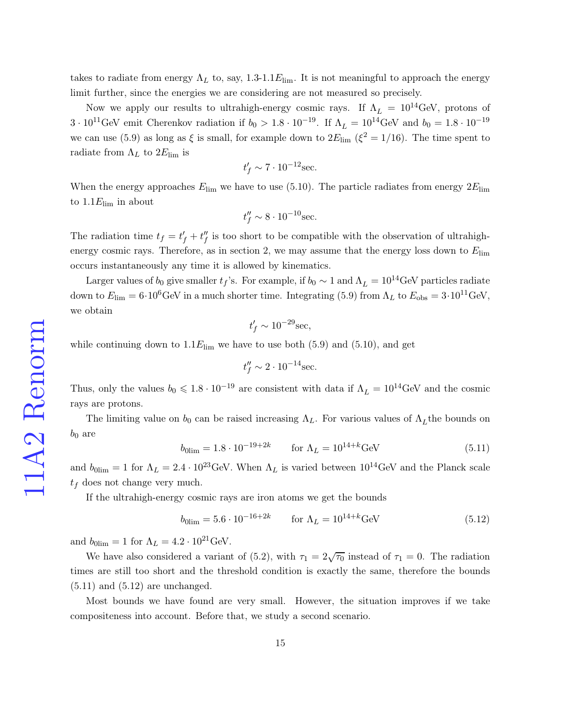takes to radiate from energy  $\Lambda_L$  to, say, 1.3-1.1 $E_{\text{lim}}$ . It is not meaningful to approach the energy limit further, since the energies we are considering are not measured so precisely.

Now we apply our results to ultrahigh-energy cosmic rays. If  $\Lambda_L = 10^{14} \text{GeV}$ , protons of  $3 \cdot 10^{11}$ GeV emit Cherenkov radiation if  $b_0 > 1.8 \cdot 10^{-19}$ . If  $\Lambda_L = 10^{14}$ GeV and  $b_0 = 1.8 \cdot 10^{-19}$ we can use [\(5.9\)](#page-13-1) as long as  $\xi$  is small, for example down to  $2E_{\text{lim}}$  ( $\xi^2 = 1/16$ ). The time spent to radiate from  $\Lambda_L$  to  $2E_{\text{lim}}$  is

$$
t'_f \sim 7 \cdot 10^{-12} \mathrm{sec.}
$$

When the energy approaches  $E_{\text{lim}}$  we have to use [\(5.10\)](#page-13-2). The particle radiates from energy  $2E_{\text{lim}}$ to  $1.1E_{\text{lim}}$  in about

$$
t_f'' \sim 8 \cdot 10^{-10} \text{sec.}
$$

The radiation time  $t_f = t'_f + t''_f$  $_{f}^{\prime\prime}$  is too short to be compatible with the observation of ultrahighenergy cosmic rays. Therefore, as in section 2, we may assume that the energy loss down to  $E_{\text{lim}}$ occurs instantaneously any time it is allowed by kinematics.

Larger values of  $b_0$  give smaller  $t_f$ 's. For example, if  $b_0 \sim 1$  and  $\Lambda_L = 10^{14}$ GeV particles radiate down to  $E_{\text{lim}} = 6 \cdot 10^6 \text{GeV}$  in a much shorter time. Integrating [\(5.9\)](#page-13-1) from  $\Lambda_L$  to  $E_{\text{obs}} = 3 \cdot 10^{11} \text{GeV}$ , we obtain

$$
t'_f \sim 10^{-29} \mathrm{sec},
$$

while continuing down to  $1.1E_{\text{lim}}$  we have to use both  $(5.9)$  and  $(5.10)$ , and get

$$
t_f'' \sim 2 \cdot 10^{-14} \text{sec.}
$$

Thus, only the values  $b_0 \leq 1.8 \cdot 10^{-19}$  are consistent with data if  $\Lambda_L = 10^{14} \text{GeV}$  and the cosmic rays are protons.

The limiting value on  $b_0$  can be raised increasing  $\Lambda_L$ . For various values of  $\Lambda_L$  the bounds on  $b_0$  are

<span id="page-14-0"></span>
$$
b_{0\text{lim}} = 1.8 \cdot 10^{-19 + 2k} \qquad \text{for } \Lambda_L = 10^{14 + k} \text{GeV}
$$
 (5.11)

and  $b_{0\text{lim}} = 1$  for  $\Lambda_L = 2.4 \cdot 10^{23}$  GeV. When  $\Lambda_L$  is varied between  $10^{14}$  GeV and the Planck scale  $t_f$  does not change very much.

If the ultrahigh-energy cosmic rays are iron atoms we get the bounds

<span id="page-14-1"></span>
$$
b_{0\text{lim}} = 5.6 \cdot 10^{-16 + 2k} \qquad \text{for } \Lambda_L = 10^{14 + k} \text{GeV}
$$
 (5.12)

and  $b_{0\text{lim}} = 1$  for  $\Lambda_L = 4.2 \cdot 10^{21} \text{GeV}$ .

We have also considered a variant of [\(5.2\)](#page-12-2), with  $\tau_1 = 2\sqrt{\tau_0}$  instead of  $\tau_1 = 0$ . The radiation times are still too short and the threshold condition is exactly the same, therefore the bounds  $(5.11)$  and  $(5.12)$  are unchanged.

Most bounds we have found are very small. However, the situation improves if we take compositeness into account. Before that, we study a second scenario.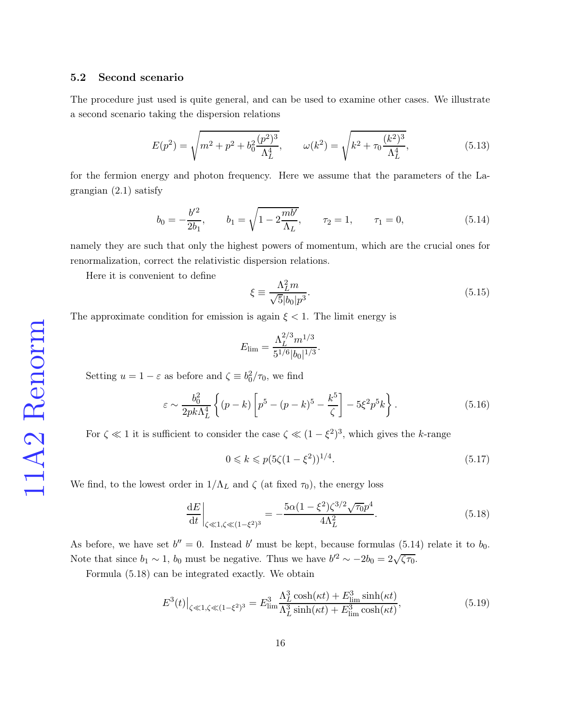#### 5.2 Second scenario

The procedure just used is quite general, and can be used to examine other cases. We illustrate a second scenario taking the dispersion relations

<span id="page-15-4"></span>
$$
E(p^2) = \sqrt{m^2 + p^2 + b_0^2 \frac{(p^2)^3}{\Lambda_L^4}}, \qquad \omega(k^2) = \sqrt{k^2 + \tau_0 \frac{(k^2)^3}{\Lambda_L^4}},
$$
\n(5.13)

for the fermion energy and photon frequency. Here we assume that the parameters of the Lagrangian [\(2.1\)](#page-3-0) satisfy

<span id="page-15-0"></span>
$$
b_0 = -\frac{b'^2}{2b_1}, \qquad b_1 = \sqrt{1 - 2\frac{mb'}{\Lambda_L}}, \qquad \tau_2 = 1, \qquad \tau_1 = 0,
$$
\n
$$
(5.14)
$$

namely they are such that only the highest powers of momentum, which are the crucial ones for renormalization, correct the relativistic dispersion relations.

Here it is convenient to define

<span id="page-15-3"></span>
$$
\xi \equiv \frac{\Lambda_L^2 m}{\sqrt{5}|b_0|p^3}.\tag{5.15}
$$

The approximate condition for emission is again  $\xi < 1$ . The limit energy is

$$
E_{\lim} = \frac{\Lambda_L^{2/3} m^{1/3}}{5^{1/6} |b_0|^{1/3}}.
$$

Setting  $u = 1 - \varepsilon$  as before and  $\zeta \equiv b_0^2/\tau_0$ , we find

$$
\varepsilon \sim \frac{b_0^2}{2pk\Lambda_L^4} \left\{ (p-k) \left[ p^5 - (p-k)^5 - \frac{k^5}{\zeta} \right] - 5\xi^2 p^5 k \right\}.
$$
 (5.16)

For  $\zeta \ll 1$  it is sufficient to consider the case  $\zeta \ll (1 - \xi^2)^3$ , which gives the k-range

$$
0 \leq k \leq p(5\zeta(1-\xi^2))^{1/4}.\tag{5.17}
$$

We find, to the lowest order in  $1/\Lambda_L$  and  $\zeta$  (at fixed  $\tau_0$ ), the energy loss

<span id="page-15-1"></span>
$$
\left. \frac{\mathrm{d}E}{\mathrm{d}t} \right|_{\zeta \ll 1, \zeta \ll (1 - \xi^2)^3} = -\frac{5\alpha (1 - \xi^2) \zeta^{3/2} \sqrt{\tau_0} p^4}{4\Lambda_L^2}.
$$
\n(5.18)

As before, we have set  $b'' = 0$ . Instead b' must be kept, because formulas [\(5.14\)](#page-15-0) relate it to  $b_0$ . Note that since  $b_1 \sim 1$ ,  $b_0$  must be negative. Thus we have  $b'^2 \sim -2b_0 = 2\sqrt{\zeta \tau_0}$ .

Formula [\(5.18\)](#page-15-1) can be integrated exactly. We obtain

<span id="page-15-2"></span>
$$
E^{3}(t)|_{\zeta \ll 1, \zeta \ll (1-\xi^{2})^{3}} = E^{3}_{\lim} \frac{\Lambda_{L}^{3} \cosh(\kappa t) + E^{3}_{\lim} \sinh(\kappa t)}{\Lambda_{L}^{3} \sinh(\kappa t) + E^{3}_{\lim} \cosh(\kappa t)},
$$
(5.19)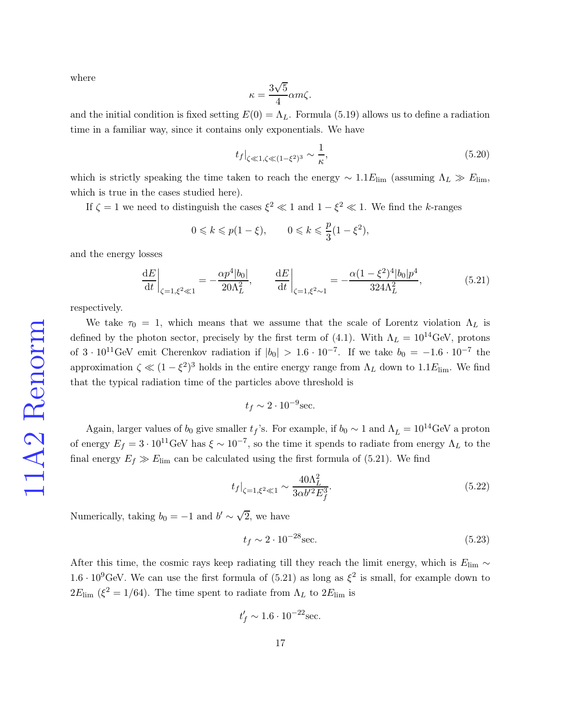where

$$
\kappa = \frac{3\sqrt{5}}{4}\alpha m\zeta.
$$

and the initial condition is fixed setting  $E(0) = \Lambda_L$ . Formula [\(5.19\)](#page-15-2) allows us to define a radiation time in a familiar way, since it contains only exponentials. We have

<span id="page-16-1"></span>
$$
t_f|_{\zeta \ll 1, \zeta \ll (1-\xi^2)^3} \sim \frac{1}{\kappa},\tag{5.20}
$$

which is strictly speaking the time taken to reach the energy  $\sim 1.1 E_{\text{lim}}$  (assuming  $\Lambda_L \gg E_{\text{lim}}$ ) which is true in the cases studied here).

If  $\zeta = 1$  we need to distinguish the cases  $\xi^2 \ll 1$  and  $1 - \xi^2 \ll 1$ . We find the k-ranges

$$
0 \leq k \leq p(1-\xi), \qquad 0 \leq k \leq \frac{p}{3}(1-\xi^2),
$$

and the energy losses

<span id="page-16-0"></span>
$$
\left. \frac{\mathrm{d}E}{\mathrm{d}t} \right|_{\zeta=1,\xi^2 \ll 1} = -\frac{\alpha p^4 |b_0|}{20\Lambda_L^2}, \qquad \left. \frac{\mathrm{d}E}{\mathrm{d}t} \right|_{\zeta=1,\xi^2 \sim 1} = -\frac{\alpha (1 - \xi^2)^4 |b_0| p^4}{324\Lambda_L^2},\tag{5.21}
$$

respectively.

We take  $\tau_0 = 1$ , which means that we assume that the scale of Lorentz violation  $\Lambda_L$  is defined by the photon sector, precisely by the first term of [\(4.1\)](#page-9-0). With  $\Lambda_L = 10^{14} \text{GeV}$ , protons of  $3 \cdot 10^{11}$ GeV emit Cherenkov radiation if  $|b_0| > 1.6 \cdot 10^{-7}$ . If we take  $b_0 = -1.6 \cdot 10^{-7}$  the approximation  $\zeta \ll (1 - \xi^2)^3$  holds in the entire energy range from  $\Lambda_L$  down to  $1.1E_{\text{lim}}$ . We find that the typical radiation time of the particles above threshold is

$$
t_f \sim 2 \cdot 10^{-9} \text{sec.}
$$

Again, larger values of  $b_0$  give smaller  $t_f$ 's. For example, if  $b_0 \sim 1$  and  $\Lambda_L = 10^{14}$ GeV a proton of energy  $E_f = 3 \cdot 10^{11}$ GeV has  $\xi \sim 10^{-7}$ , so the time it spends to radiate from energy  $\Lambda_L$  to the final energy  $E_f \gg E_{\text{lim}}$  can be calculated using the first formula of [\(5.21\)](#page-16-0). We find

$$
t_f|_{\zeta=1,\xi^2\ll 1} \sim \frac{40\Lambda_L^2}{3\alpha b'^2 E_f^3}.\tag{5.22}
$$

Numerically, taking  $b_0 = -1$  and  $b' \sim \sqrt{2}$ , we have

$$
t_f \sim 2 \cdot 10^{-28} \text{sec.} \tag{5.23}
$$

After this time, the cosmic rays keep radiating till they reach the limit energy, which is  $E_{\text{lim}} \sim$  $1.6 \cdot 10^9$ GeV. We can use the first formula of [\(5.21\)](#page-16-0) as long as  $\xi^2$  is small, for example down to  $2E_{\text{lim}}$  ( $\xi^2 = 1/64$ ). The time spent to radiate from  $\Lambda_L$  to  $2E_{\text{lim}}$  is

 $t'_f \sim 1.6 \cdot 10^{-22}$ sec.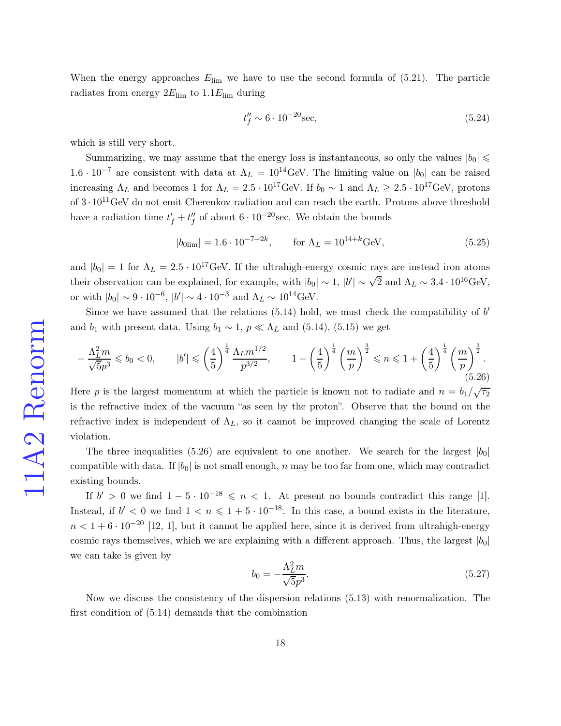When the energy approaches  $E_{\text{lim}}$  we have to use the second formula of [\(5.21\)](#page-16-0). The particle radiates from energy  $2E_{\text{lim}}$  to  $1.1E_{\text{lim}}$  during

$$
t''_f \sim 6 \cdot 10^{-20} \text{sec},\tag{5.24}
$$

which is still very short.

Summarizing, we may assume that the energy loss is instantaneous, so only the values  $|b_0| \leq$  $1.6 \cdot 10^{-7}$  are consistent with data at  $\Lambda_L = 10^{14}$  GeV. The limiting value on  $|b_0|$  can be raised increasing  $\Lambda_L$  and becomes 1 for  $\Lambda_L = 2.5 \cdot 10^{17} \text{GeV}$ . If  $b_0 \sim 1$  and  $\Lambda_L \geq 2.5 \cdot 10^{17} \text{GeV}$ , protons of  $3 \cdot 10^{11}$ GeV do not emit Cherenkov radiation and can reach the earth. Protons above threshold have a radiation time  $t'_{f} + t''_{f}$  $''_f$  of about  $6 \cdot 10^{-20}$  sec. We obtain the bounds

<span id="page-17-1"></span>
$$
|b_{0\text{lim}}| = 1.6 \cdot 10^{-7+2k}, \qquad \text{for } \Lambda_L = 10^{14+k} \text{GeV}, \tag{5.25}
$$

and  $|b_0| = 1$  for  $\Lambda_L = 2.5 \cdot 10^{17}$  GeV. If the ultrahigh-energy cosmic rays are instead iron atoms their observation can be explained, for example, with  $|b_0| \sim 1$ ,  $|b'| \sim \sqrt{2}$  and  $\Lambda_L \sim 3.4 \cdot 10^{16} \text{GeV}$ , or with  $|b_0| \sim 9 \cdot 10^{-6}$ ,  $|b'| \sim 4 \cdot 10^{-3}$  and  $\Lambda_L \sim 10^{14}$ GeV.

Since we have assumed that the relations  $(5.14)$  hold, we must check the compatibility of  $b'$ and  $b_1$  with present data. Using  $b_1 \sim 1$ ,  $p \ll \Lambda_L$  and [\(5.14\)](#page-15-0), [\(5.15\)](#page-15-3) we get

<span id="page-17-0"></span>
$$
-\frac{\Lambda_L^2 m}{\sqrt{5}p^3} \leq b_0 < 0, \qquad |b'| \leq \left(\frac{4}{5}\right)^{\frac{1}{4}} \frac{\Lambda_L m^{1/2}}{p^{3/2}}, \qquad 1 - \left(\frac{4}{5}\right)^{\frac{1}{4}} \left(\frac{m}{p}\right)^{\frac{3}{2}} \leq n \leq 1 + \left(\frac{4}{5}\right)^{\frac{1}{4}} \left(\frac{m}{p}\right)^{\frac{3}{2}}.\tag{5.26}
$$

Here p is the largest momentum at which the particle is known not to radiate and  $n = b_1/\sqrt{\tau_2}$ is the refractive index of the vacuum "as seen by the proton". Observe that the bound on the refractive index is independent of  $\Lambda_L$ , so it cannot be improved changing the scale of Lorentz violation.

The three inequalities [\(5.26\)](#page-17-0) are equivalent to one another. We search for the largest  $|b_0|$ compatible with data. If  $|b_0|$  is not small enough, n may be too far from one, which may contradict existing bounds.

If  $b' > 0$  we find  $1 - 5 \cdot 10^{-18} \leq n < 1$ . At present no bounds contradict this range [\[1\]](#page-25-0). Instead, if  $b' < 0$  we find  $1 < n \leq 1 + 5 \cdot 10^{-18}$ . In this case, a bound exists in the literature,  $n < 1 + 6 \cdot 10^{-20}$  [\[12,](#page-26-2) [1\]](#page-25-0), but it cannot be applied here, since it is derived from ultrahigh-energy cosmic rays themselves, which we are explaining with a different approach. Thus, the largest  $|b_0|$ we can take is given by

$$
b_0 = -\frac{\Lambda_L^2 m}{\sqrt{5}p^3}.\tag{5.27}
$$

Now we discuss the consistency of the dispersion relations [\(5.13\)](#page-15-4) with renormalization. The first condition of [\(5.14\)](#page-15-0) demands that the combination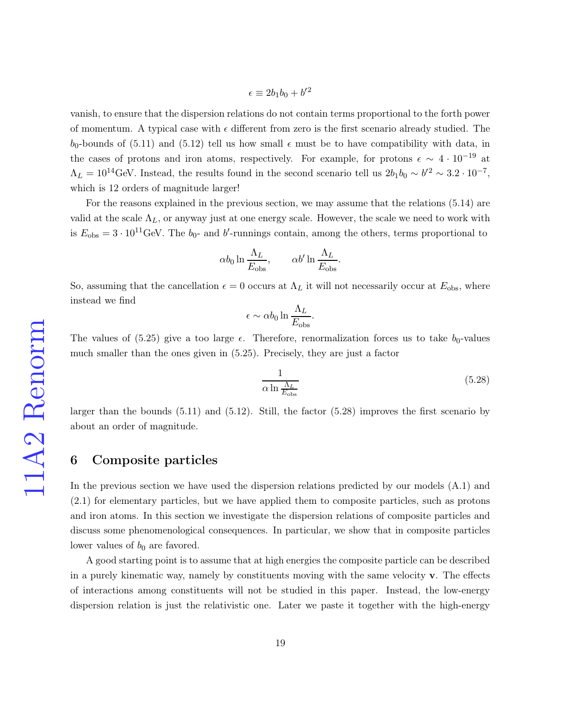$$
\epsilon \equiv 2b_1b_0 + b'^2
$$

vanish, to ensure that the dispersion relations do not contain terms proportional to the forth power of momentum. A typical case with  $\epsilon$  different from zero is the first scenario already studied. The  $b_0$ -bounds of [\(5.11\)](#page-14-0) and [\(5.12\)](#page-14-1) tell us how small  $\epsilon$  must be to have compatibility with data, in the cases of protons and iron atoms, respectively. For example, for protons  $\epsilon \sim 4 \cdot 10^{-19}$  at  $\Lambda_L = 10^{14}$ GeV. Instead, the results found in the second scenario tell us  $2b_1b_0 \sim b'^2 \sim 3.2 \cdot 10^{-7}$ , which is 12 orders of magnitude larger!

For the reasons explained in the previous section, we may assume that the relations [\(5.14\)](#page-15-0) are valid at the scale  $\Lambda_L$ , or anyway just at one energy scale. However, the scale we need to work with is  $E_{\text{obs}} = 3 \cdot 10^{11} \text{GeV}$ . The  $b_0$ - and b'-runnings contain, among the others, terms proportional to

$$
\alpha b_0 \ln \frac{\Lambda_L}{E_{\text{obs}}}, \qquad \alpha b' \ln \frac{\Lambda_L}{E_{\text{obs}}}.
$$

So, assuming that the cancellation  $\epsilon = 0$  occurs at  $\Lambda_L$  it will not necessarily occur at  $E_{obs}$ , where instead we find

$$
\epsilon \sim \alpha b_0 \ln \frac{\Lambda_L}{E_{\text{obs}}}.
$$

The values of  $(5.25)$  give a too large  $\epsilon$ . Therefore, renormalization forces us to take  $b_0$ -values much smaller than the ones given in [\(5.25\)](#page-17-1). Precisely, they are just a factor

<span id="page-18-0"></span>
$$
\frac{1}{\alpha \ln \frac{\Lambda_L}{E_{\text{obs}}}}
$$
(5.28)

larger than the bounds [\(5.11\)](#page-14-0) and [\(5.12\)](#page-14-1). Still, the factor [\(5.28\)](#page-18-0) improves the first scenario by about an order of magnitude.

## 6 Composite particles

In the previous section we have used the dispersion relations predicted by our models [\(A.1\)](#page-24-0) and [\(2.1\)](#page-3-0) for elementary particles, but we have applied them to composite particles, such as protons and iron atoms. In this section we investigate the dispersion relations of composite particles and discuss some phenomenological consequences. In particular, we show that in composite particles lower values of  $b_0$  are favored.

A good starting point is to assume that at high energies the composite particle can be described in a purely kinematic way, namely by constituents moving with the same velocity  $\bf{v}$ . The effects of interactions among constituents will not be studied in this paper. Instead, the low-energy dispersion relation is just the relativistic one. Later we paste it together with the high-energy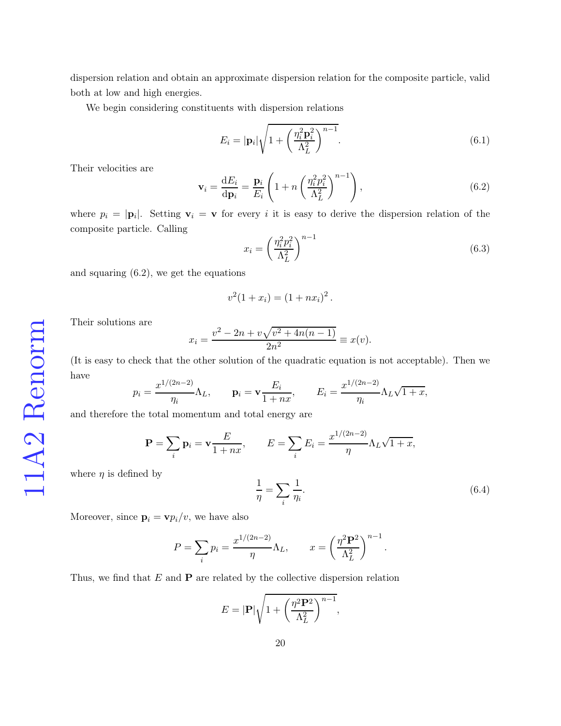dispersion relation and obtain an approximate dispersion relation for the composite particle, valid both at low and high energies.

We begin considering constituents with dispersion relations

<span id="page-19-1"></span>
$$
E_i = |\mathbf{p}_i| \sqrt{1 + \left(\frac{\eta_i^2 \mathbf{p}_i^2}{\Lambda_L^2}\right)^{n-1}}.
$$
\n(6.1)

Their velocities are

<span id="page-19-0"></span>
$$
\mathbf{v}_{i} = \frac{\mathrm{d}E_{i}}{\mathrm{d}\mathbf{p}_{i}} = \frac{\mathbf{p}_{i}}{E_{i}} \left( 1 + n \left( \frac{\eta_{i}^{2} p_{i}^{2}}{\Lambda_{L}^{2}} \right)^{n-1} \right), \tag{6.2}
$$

where  $p_i = |\mathbf{p}_i|$ . Setting  $\mathbf{v}_i = \mathbf{v}$  for every i it is easy to derive the dispersion relation of the composite particle. Calling

$$
x_i = \left(\frac{\eta_i^2 p_i^2}{\Lambda_L^2}\right)^{n-1} \tag{6.3}
$$

and squaring [\(6.2\)](#page-19-0), we get the equations

$$
v^2(1+x_i) = (1+nx_i)^2.
$$

Their solutions are

$$
x_i = \frac{v^2 - 2n + v\sqrt{v^2 + 4n(n-1)}}{2n^2} \equiv x(v).
$$

(It is easy to check that the other solution of the quadratic equation is not acceptable). Then we have

$$
p_i = \frac{x^{1/(2n-2)}}{\eta_i} \Lambda_L
$$
,  $\mathbf{p}_i = \mathbf{v} \frac{E_i}{1+nx}$ ,  $E_i = \frac{x^{1/(2n-2)}}{\eta_i} \Lambda_L \sqrt{1+x}$ ,

and therefore the total momentum and total energy are

$$
\mathbf{P} = \sum_{i} \mathbf{p}_i = \mathbf{v} \frac{E}{1 + nx}, \qquad E = \sum_{i} E_i = \frac{x^{1/(2n-2)}}{\eta} \Lambda_L \sqrt{1 + x},
$$

where  $\eta$  is defined by

<span id="page-19-2"></span>
$$
\frac{1}{\eta} = \sum_{i} \frac{1}{\eta_i}.\tag{6.4}
$$

Moreover, since  $\mathbf{p}_i = \mathbf{v} p_i/v$ , we have also

$$
P = \sum_{i} p_i = \frac{x^{1/(2n-2)}}{\eta} \Lambda_L, \qquad x = \left(\frac{\eta^2 \mathbf{P}^2}{\Lambda_L^2}\right)^{n-1}.
$$

Thus, we find that  $E$  and  $P$  are related by the collective dispersion relation

$$
E = |\mathbf{P}| \sqrt{1 + \left(\frac{\eta^2 \mathbf{P}^2}{\Lambda_L^2}\right)^{n-1}},
$$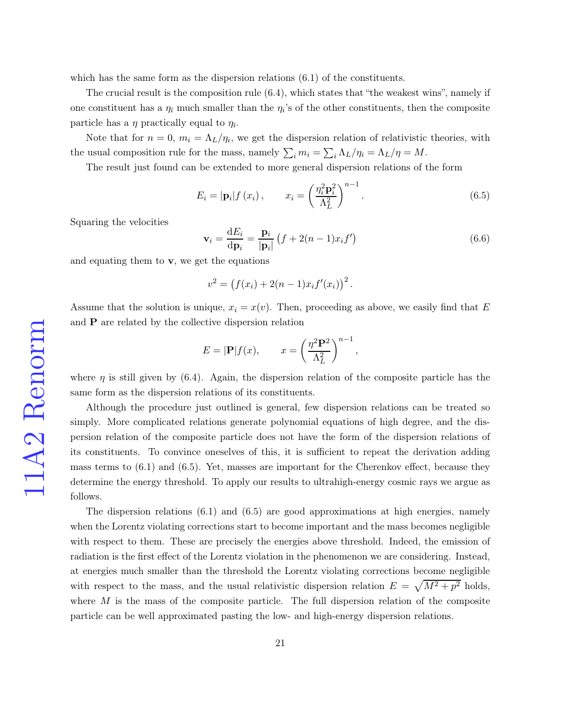which has the same form as the dispersion relations  $(6.1)$  of the constituents.

The crucial result is the composition rule [\(6.4\)](#page-19-2), which states that "the weakest wins", namely if one constituent has a  $\eta_{\bar{\imath}}$  much smaller than the  $\eta_i$ 's of the other constituents, then the composite particle has a  $\eta$  practically equal to  $\eta_{\bar{\imath}}$ .

Note that for  $n = 0$ ,  $m_i = \Lambda_L/\eta_i$ , we get the dispersion relation of relativistic theories, with the usual composition rule for the mass, namely  $\sum_i m_i = \sum_i \Lambda_L / \eta_i = \Lambda_L / \eta = M$ .

The result just found can be extended to more general dispersion relations of the form

<span id="page-20-0"></span>
$$
E_i = |\mathbf{p}_i| f(x_i), \qquad x_i = \left(\frac{\eta_i^2 \mathbf{p}_i^2}{\Lambda_L^2}\right)^{n-1}.
$$
\n(6.5)

Squaring the velocities

$$
\mathbf{v}_i = \frac{\mathrm{d}E_i}{\mathrm{d}\mathbf{p}_i} = \frac{\mathbf{p}_i}{|\mathbf{p}_i|} \left( f + 2(n-1)x_i f' \right) \tag{6.6}
$$

and equating them to  $\bf{v}$ , we get the equations

$$
v^{2} = (f(x_{i}) + 2(n - 1)x_{i}f'(x_{i}))^{2}.
$$

Assume that the solution is unique,  $x_i = x(v)$ . Then, proceeding as above, we easily find that E and  $P$  are related by the collective dispersion relation

$$
E = |\mathbf{P}| f(x), \qquad x = \left(\frac{\eta^2 \mathbf{P}^2}{\Lambda_L^2}\right)^{n-1},
$$

where  $\eta$  is still given by [\(6.4\)](#page-19-2). Again, the dispersion relation of the composite particle has the same form as the dispersion relations of its constituents.

Although the procedure just outlined is general, few dispersion relations can be treated so simply. More complicated relations generate polynomial equations of high degree, and the dispersion relation of the composite particle does not have the form of the dispersion relations of its constituents. To convince oneselves of this, it is sufficient to repeat the derivation adding mass terms to  $(6.1)$  and  $(6.5)$ . Yet, masses are important for the Cherenkov effect, because they determine the energy threshold. To apply our results to ultrahigh-energy cosmic rays we argue as follows.

The dispersion relations  $(6.1)$  and  $(6.5)$  are good approximations at high energies, namely when the Lorentz violating corrections start to become important and the mass becomes negligible with respect to them. These are precisely the energies above threshold. Indeed, the emission of radiation is the first effect of the Lorentz violation in the phenomenon we are considering. Instead, at energies much smaller than the threshold the Lorentz violating corrections become negligible with respect to the mass, and the usual relativistic dispersion relation  $E = \sqrt{M^2 + p^2}$  holds, where  $M$  is the mass of the composite particle. The full dispersion relation of the composite particle can be well approximated pasting the low- and high-energy dispersion relations.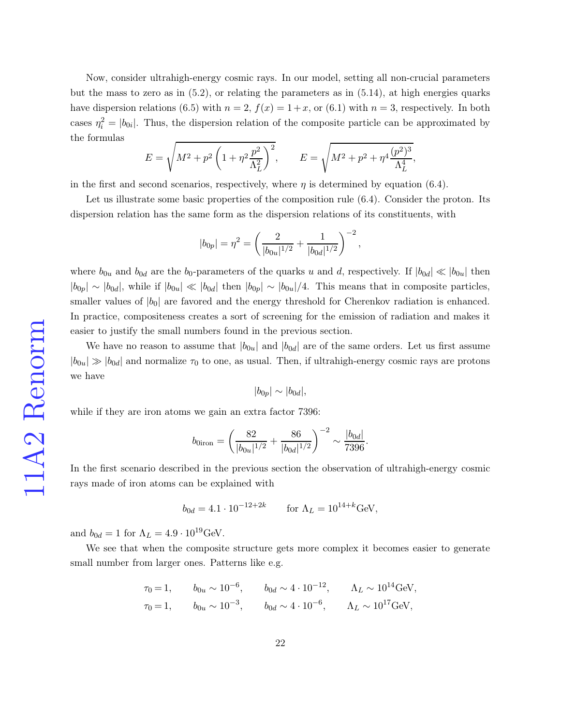Now, consider ultrahigh-energy cosmic rays. In our model, setting all non-crucial parameters but the mass to zero as in  $(5.2)$ , or relating the parameters as in  $(5.14)$ , at high energies quarks have dispersion relations [\(6.5\)](#page-20-0) with  $n = 2$ ,  $f(x) = 1+x$ , or [\(6.1\)](#page-19-1) with  $n = 3$ , respectively. In both cases  $\eta_i^2 = |b_{0i}|$ . Thus, the dispersion relation of the composite particle can be approximated by the formulas

$$
E = \sqrt{M^2 + p^2 \left(1 + \eta^2 \frac{p^2}{\Lambda_L^2}\right)^2}, \qquad E = \sqrt{M^2 + p^2 + \eta^4 \frac{(p^2)^3}{\Lambda_L^4}},
$$

in the first and second scenarios, respectively, where  $\eta$  is determined by equation [\(6.4\)](#page-19-2).

Let us illustrate some basic properties of the composition rule  $(6.4)$ . Consider the proton. Its dispersion relation has the same form as the dispersion relations of its constituents, with

$$
|b_{0p}| = \eta^2 = \left(\frac{2}{|b_{0u}|^{1/2}} + \frac{1}{|b_{0d}|^{1/2}}\right)^{-2},
$$

where  $b_{0u}$  and  $b_{0d}$  are the  $b_0$ -parameters of the quarks u and d, respectively. If  $|b_{0d}| \ll |b_{0u}|$  then  $|b_{0p}| \sim |b_{0d}|$ , while if  $|b_{0u}| \ll |b_{0d}|$  then  $|b_{0p}| \sim |b_{0u}|/4$ . This means that in composite particles, smaller values of  $|b_0|$  are favored and the energy threshold for Cherenkov radiation is enhanced. In practice, compositeness creates a sort of screening for the emission of radiation and makes it easier to justify the small numbers found in the previous section.

We have no reason to assume that  $|b_{0u}|$  and  $|b_{0d}|$  are of the same orders. Let us first assume  $|b_{0u}| \gg |b_{0d}|$  and normalize  $\tau_0$  to one, as usual. Then, if ultrahigh-energy cosmic rays are protons we have

$$
|b_{0p}| \sim |b_{0d}|,
$$

while if they are iron atoms we gain an extra factor 7396:

$$
b_{0\text{iron}} = \left(\frac{82}{|b_{0u}|^{1/2}} + \frac{86}{|b_{0d}|^{1/2}}\right)^{-2} \sim \frac{|b_{0d}|}{7396}.
$$

In the first scenario described in the previous section the observation of ultrahigh-energy cosmic rays made of iron atoms can be explained with

$$
b_{0d} = 4.1 \cdot 10^{-12 + 2k}
$$
 for  $\Lambda_L = 10^{14 + k} \text{GeV},$ 

and  $b_{0d} = 1$  for  $\Lambda_L = 4.9 \cdot 10^{19}$ GeV.

We see that when the composite structure gets more complex it becomes easier to generate small number from larger ones. Patterns like e.g.

$$
\tau_0 = 1,
$$
  $b_{0u} \sim 10^{-6},$   $b_{0d} \sim 4 \cdot 10^{-12},$   $\Lambda_L \sim 10^{14} \text{GeV},$   
\n $\tau_0 = 1,$   $b_{0u} \sim 10^{-3},$   $b_{0d} \sim 4 \cdot 10^{-6},$   $\Lambda_L \sim 10^{17} \text{GeV},$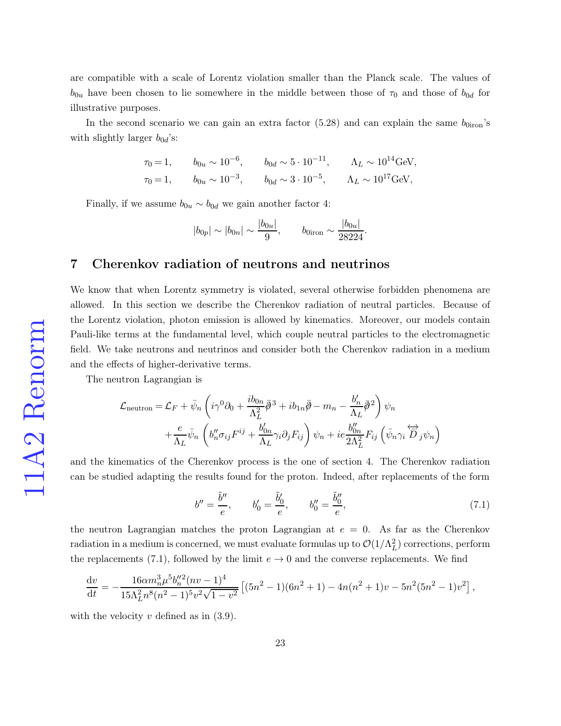are compatible with a scale of Lorentz violation smaller than the Planck scale. The values of  $b_{0u}$  have been chosen to lie somewhere in the middle between those of  $\tau_0$  and those of  $b_{0d}$  for illustrative purposes.

In the second scenario we can gain an extra factor [\(5.28\)](#page-18-0) and can explain the same  $b_{0i\text{ron}}$ 's with slightly larger  $b_{0d}$ 's:

$$
\tau_0 = 1, \qquad b_{0u} \sim 10^{-6}, \qquad b_{0d} \sim 5 \cdot 10^{-11}, \qquad \Lambda_L \sim 10^{14} \text{GeV},
$$
  

$$
\tau_0 = 1, \qquad b_{0u} \sim 10^{-3}, \qquad b_{0d} \sim 3 \cdot 10^{-5}, \qquad \Lambda_L \sim 10^{17} \text{GeV},
$$

Finally, if we assume  $b_{0u} \sim b_{0d}$  we gain another factor 4:

$$
|b_{0p}| \sim |b_{0n}| \sim \frac{|b_{0u}|}{9}
$$
,  $b_{0iron} \sim \frac{|b_{0u}|}{28224}$ .

## 7 Cherenkov radiation of neutrons and neutrinos

We know that when Lorentz symmetry is violated, several otherwise forbidden phenomena are allowed. In this section we describe the Cherenkov radiation of neutral particles. Because of the Lorentz violation, photon emission is allowed by kinematics. Moreover, our models contain Pauli-like terms at the fundamental level, which couple neutral particles to the electromagnetic field. We take neutrons and neutrinos and consider both the Cherenkov radiation in a medium and the effects of higher-derivative terms.

The neutron Lagrangian is

$$
\mathcal{L}_{\text{neutron}} = \mathcal{L}_{F} + \bar{\psi}_{n} \left( i\gamma^{0} \partial_{0} + \frac{ib_{0n}}{\Lambda_{L}^{2}} \bar{\partial}^{3} + ib_{1n} \bar{\partial} - m_{n} - \frac{b'_{n}}{\Lambda_{L}} \bar{\partial}^{2} \right) \psi_{n} \n+ \frac{e}{\Lambda_{L}} \bar{\psi}_{n} \left( b''_{n} \sigma_{ij} F^{ij} + \frac{b'_{0n}}{\Lambda_{L}} \gamma_{i} \partial_{j} F_{ij} \right) \psi_{n} + ie \frac{b''_{0n}}{2\Lambda_{L}^{2}} F_{ij} \left( \bar{\psi}_{n} \gamma_{i} \overleftrightarrow{D}_{j} \psi_{n} \right)
$$

and the kinematics of the Cherenkov process is the one of section 4. The Cherenkov radiation can be studied adapting the results found for the proton. Indeed, after replacements of the form

<span id="page-22-0"></span>
$$
b'' = \frac{\tilde{b}''}{e}, \qquad b'_0 = \frac{\tilde{b}'_0}{e}, \qquad b''_0 = \frac{\tilde{b}''_0}{e}, \tag{7.1}
$$

the neutron Lagrangian matches the proton Lagrangian at  $e = 0$ . As far as the Cherenkov radiation in a medium is concerned, we must evaluate formulas up to  $\mathcal{O}(1/\Lambda_L^2)$  corrections, perform the replacements [\(7.1\)](#page-22-0), followed by the limit  $e \to 0$  and the converse replacements. We find

$$
\frac{\mathrm{d}v}{\mathrm{d}t} = -\frac{16\alpha m_n^3 \mu^5 b_n''^2 (nv-1)^4}{15\Lambda_L^2 n^8 (n^2-1)^5 v^2 \sqrt{1-v^2}} \left[ (5n^2-1)(6n^2+1) - 4n(n^2+1)v - 5n^2(5n^2-1)v^2 \right],
$$

with the velocity  $v$  defined as in  $(3.9)$ .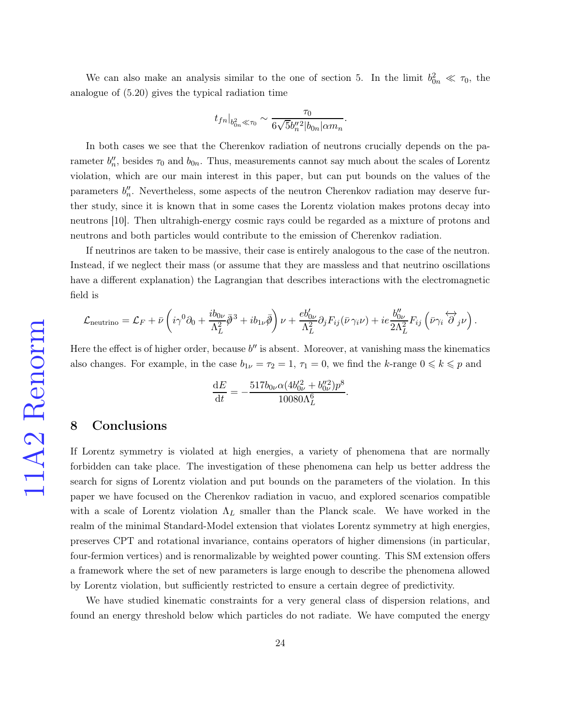We can also make an analysis similar to the one of section 5. In the limit  $b_{0n}^2 \ll \tau_0$ , the analogue of [\(5.20\)](#page-16-1) gives the typical radiation time

$$
t_{fn}|_{b_{0n}^2 \ll \tau_0} \sim \frac{\tau_0}{6\sqrt{5}b_n''^2|b_{0n}| \alpha m_n}
$$

.

.

In both cases we see that the Cherenkov radiation of neutrons crucially depends on the parameter  $b''_n$ , besides  $\tau_0$  and  $b_{0n}$ . Thus, measurements cannot say much about the scales of Lorentz violation, which are our main interest in this paper, but can put bounds on the values of the parameters  $b''_n$ . Nevertheless, some aspects of the neutron Cherenkov radiation may deserve further study, since it is known that in some cases the Lorentz violation makes protons decay into neutrons [\[10\]](#page-26-0). Then ultrahigh-energy cosmic rays could be regarded as a mixture of protons and neutrons and both particles would contribute to the emission of Cherenkov radiation.

If neutrinos are taken to be massive, their case is entirely analogous to the case of the neutron. Instead, if we neglect their mass (or assume that they are massless and that neutrino oscillations have a different explanation) the Lagrangian that describes interactions with the electromagnetic field is

$$
\mathcal{L}_{\text{neutrino}} = \mathcal{L}_{F} + \bar{\nu} \left( i \gamma^0 \partial_0 + \frac{i b_{0\nu}}{\Lambda_L^2} \bar{\phi}^3 + i b_{1\nu} \bar{\phi} \right) \nu + \frac{e b_{0\nu}'}{\Lambda_L^2} \partial_j F_{ij} (\bar{\nu} \gamma_i \nu) + i e \frac{b_{0\nu}''}{2 \Lambda_L^2} F_{ij} (\bar{\nu} \gamma_i \overleftrightarrow{\partial}_j \nu).
$$

Here the effect is of higher order, because  $b''$  is absent. Moreover, at vanishing mass the kinematics also changes. For example, in the case  $b_{1\nu} = \tau_2 = 1$ ,  $\tau_1 = 0$ , we find the k-range  $0 \le k \le p$  and

$$
\frac{\mathrm{d}E}{\mathrm{d}t}=-\frac{517b_{0\nu}\alpha(4b_{0\nu}^{\prime 2}+b_{0\nu}^{\prime\prime 2})p^8}{10080\Lambda_L^6}
$$

# 8 Conclusions

If Lorentz symmetry is violated at high energies, a variety of phenomena that are normally forbidden can take place. The investigation of these phenomena can help us better address the search for signs of Lorentz violation and put bounds on the parameters of the violation. In this paper we have focused on the Cherenkov radiation in vacuo, and explored scenarios compatible with a scale of Lorentz violation  $\Lambda_L$  smaller than the Planck scale. We have worked in the realm of the minimal Standard-Model extension that violates Lorentz symmetry at high energies, preserves CPT and rotational invariance, contains operators of higher dimensions (in particular, four-fermion vertices) and is renormalizable by weighted power counting. This SM extension offers a framework where the set of new parameters is large enough to describe the phenomena allowed by Lorentz violation, but sufficiently restricted to ensure a certain degree of predictivity.

We have studied kinematic constraints for a very general class of dispersion relations, and found an energy threshold below which particles do not radiate. We have computed the energy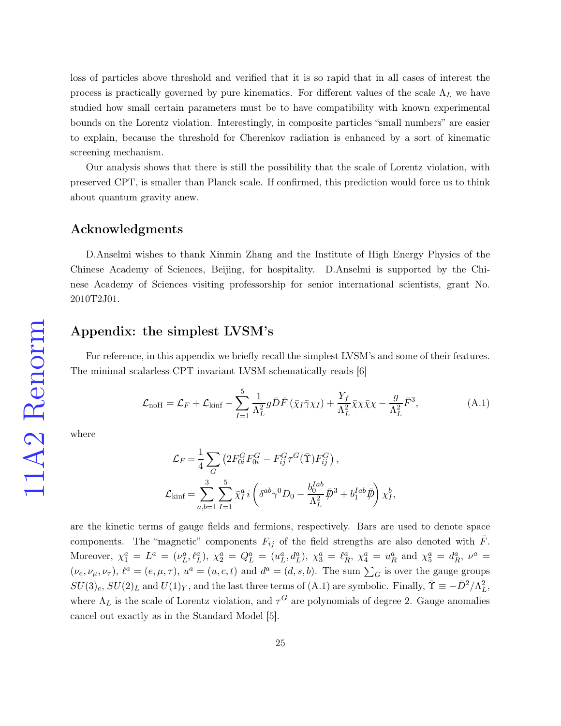loss of particles above threshold and verified that it is so rapid that in all cases of interest the process is practically governed by pure kinematics. For different values of the scale  $\Lambda_L$  we have studied how small certain parameters must be to have compatibility with known experimental bounds on the Lorentz violation. Interestingly, in composite particles "small numbers" are easier to explain, because the threshold for Cherenkov radiation is enhanced by a sort of kinematic screening mechanism.

Our analysis shows that there is still the possibility that the scale of Lorentz violation, with preserved CPT, is smaller than Planck scale. If confirmed, this prediction would force us to think about quantum gravity anew.

## Acknowledgments

D.Anselmi wishes to thank Xinmin Zhang and the Institute of High Energy Physics of the Chinese Academy of Sciences, Beijing, for hospitality. D.Anselmi is supported by the Chinese Academy of Sciences visiting professorship for senior international scientists, grant No. 2010T2J01.

## Appendix: the simplest LVSM's

For reference, in this appendix we briefly recall the simplest LVSM's and some of their features. The minimal scalarless CPT invariant LVSM schematically reads [\[6\]](#page-25-5)

<span id="page-24-0"></span>
$$
\mathcal{L}_{\text{noH}} = \mathcal{L}_F + \mathcal{L}_{\text{kinf}} - \sum_{I=1}^{5} \frac{1}{\Lambda_L^2} g \bar{D} \bar{F} \left( \bar{\chi}_I \bar{\gamma} \chi_I \right) + \frac{Y_f}{\Lambda_L^2} \bar{\chi} \chi \bar{\chi} \chi - \frac{g}{\Lambda_L^2} \bar{F}^3, \tag{A.1}
$$

where

$$
\mathcal{L}_F = \frac{1}{4} \sum_G \left( 2F_{0i}^G F_{0i}^G - F_{ij}^G \tau^G (\bar{\Upsilon}) F_{ij}^G \right),
$$
  

$$
\mathcal{L}_{\text{kinf}} = \sum_{a,b=1}^3 \sum_{I=1}^5 \bar{\chi}_I^a i \left( \delta^{ab} \gamma^0 D_0 - \frac{b_0^{Iab}}{\Lambda_L^2} \bar{\psi}^3 + b_1^{Iab} \bar{\psi} \right) \chi_I^b,
$$

are the kinetic terms of gauge fields and fermions, respectively. Bars are used to denote space components. The "magnetic" components  $F_{ij}$  of the field strengths are also denoted with  $\bar{F}$ . Moreover,  $\chi_1^a = L^a = (\nu_L^a, \ell_L^a), \chi_2^a = Q_L^a = (u_L^a, d_L^a), \chi_3^a = \ell_R^a, \chi_4^a = u_R^a$  and  $\chi_5^a = d_R^a, \nu^a =$  $(\nu_e, \nu_\mu, \nu_\tau)$ ,  $\ell^a = (e, \mu, \tau)$ ,  $u^a = (u, c, t)$  and  $d^a = (d, s, b)$ . The sum  $\sum_G$  is over the gauge groups  $SU(3)_c$ ,  $SU(2)_L$  and  $U(1)_Y$ , and the last three terms of [\(A.1\)](#page-24-0) are symbolic. Finally,  $\overline{\Upsilon} \equiv -\overline{D}^2/\Lambda_L^2$ , where  $\Lambda_L$  is the scale of Lorentz violation, and  $\tau^G$  are polynomials of degree 2. Gauge anomalies cancel out exactly as in the Standard Model [\[5\]](#page-25-4).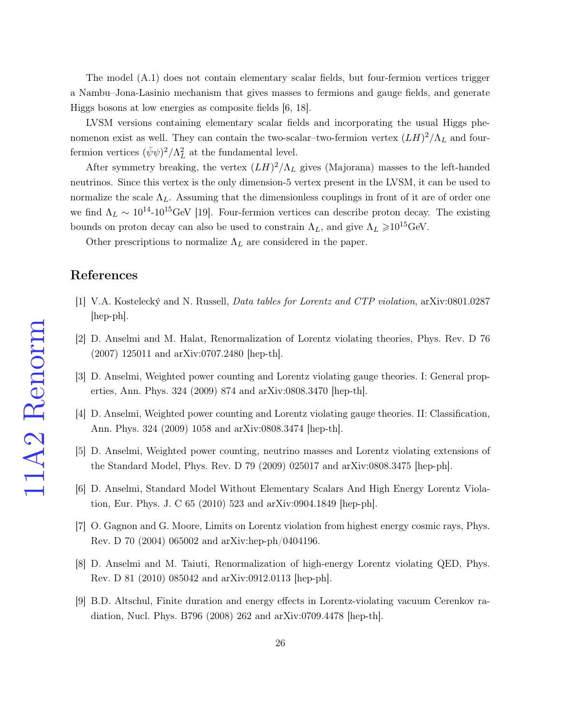The model [\(A.1\)](#page-24-0) does not contain elementary scalar fields, but four-fermion vertices trigger a Nambu–Jona-Lasinio mechanism that gives masses to fermions and gauge fields, and generate Higgs bosons at low energies as composite fields [\[6,](#page-25-5) [18\]](#page-26-8).

LVSM versions containing elementary scalar fields and incorporating the usual Higgs phenomenon exist as well. They can contain the two-scalar–two-fermion vertex  $(LH)^2/\Lambda_L$  and fourfermion vertices  $(\bar{\psi}\psi)^2/\Lambda_L^2$  at the fundamental level.

After symmetry breaking, the vertex  $(LH)^2/\Lambda_L$  gives (Majorana) masses to the left-handed neutrinos. Since this vertex is the only dimension-5 vertex present in the LVSM, it can be used to normalize the scale  $\Lambda_L$ . Assuming that the dimensionless couplings in front of it are of order one we find  $\Lambda_L \sim 10^{14}$ -10<sup>15</sup>GeV [\[19\]](#page-26-9). Four-fermion vertices can describe proton decay. The existing bounds on proton decay can also be used to constrain  $\Lambda_L$ , and give  $\Lambda_L \geq 10^{15}$ GeV.

Other prescriptions to normalize  $\Lambda_L$  are considered in the paper.

## <span id="page-25-0"></span>References

- <span id="page-25-1"></span>[1] V.A. Kostelecký and N. Russell, Data tables for Lorentz and CTP violation, arXiv:0801.0287 [hep-ph].
- <span id="page-25-2"></span>[2] D. Anselmi and M. Halat, Renormalization of Lorentz violating theories, Phys. Rev. D 76 (2007) 125011 and arXiv:0707.2480 [hep-th].
- <span id="page-25-3"></span>[3] D. Anselmi, Weighted power counting and Lorentz violating gauge theories. I: General properties, Ann. Phys. 324 (2009) 874 and arXiv:0808.3470 [hep-th].
- <span id="page-25-4"></span>[4] D. Anselmi, Weighted power counting and Lorentz violating gauge theories. II: Classification, Ann. Phys. 324 (2009) 1058 and arXiv:0808.3474 [hep-th].
- <span id="page-25-5"></span>[5] D. Anselmi, Weighted power counting, neutrino masses and Lorentz violating extensions of the Standard Model, Phys. Rev. D 79 (2009) 025017 and arXiv:0808.3475 [hep-ph].
- <span id="page-25-6"></span>[6] D. Anselmi, Standard Model Without Elementary Scalars And High Energy Lorentz Violation, Eur. Phys. J. C 65 (2010) 523 and arXiv:0904.1849 [hep-ph].
- <span id="page-25-7"></span>[7] O. Gagnon and G. Moore, Limits on Lorentz violation from highest energy cosmic rays, Phys. Rev. D 70 (2004) 065002 and arXiv:hep-ph/0404196.
- <span id="page-25-8"></span>[8] D. Anselmi and M. Taiuti, Renormalization of high-energy Lorentz violating QED, Phys. Rev. D 81 (2010) 085042 and arXiv:0912.0113 [hep-ph].
- [9] B.D. Altschul, Finite duration and energy effects in Lorentz-violating vacuum Cerenkov radiation, Nucl. Phys. B796 (2008) 262 and arXiv:0709.4478 [hep-th].